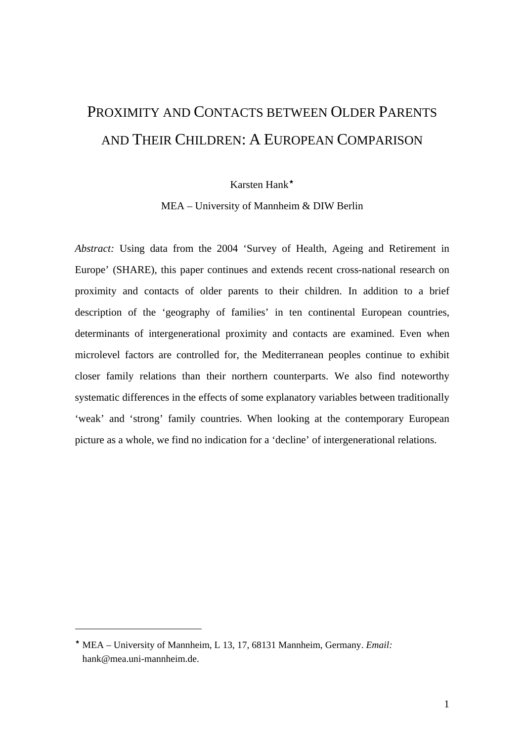# PROXIMITY AND CONTACTS BETWEEN OLDER PARENTS AND THEIR CHILDREN: A EUROPEAN COMPARISON

## Karsten Hank

MEA – University of Mannheim & DIW Berlin

*Abstract:* Using data from the 2004 'Survey of Health, Ageing and Retirement in Europe' (SHARE), this paper continues and extends recent cross-national research on proximity and contacts of older parents to their children. In addition to a brief description of the 'geography of families' in ten continental European countries, determinants of intergenerational proximity and contacts are examined. Even when microlevel factors are controlled for, the Mediterranean peoples continue to exhibit closer family relations than their northern counterparts. We also find noteworthy systematic differences in the effects of some explanatory variables between traditionally 'weak' and 'strong' family countries. When looking at the contemporary European picture as a whole, we find no indication for a 'decline' of intergenerational relations.

 $\overline{a}$ 

MEA – University of Mannheim, L 13, 17, 68131 Mannheim, Germany. *Email:* hank@mea.uni-mannheim.de.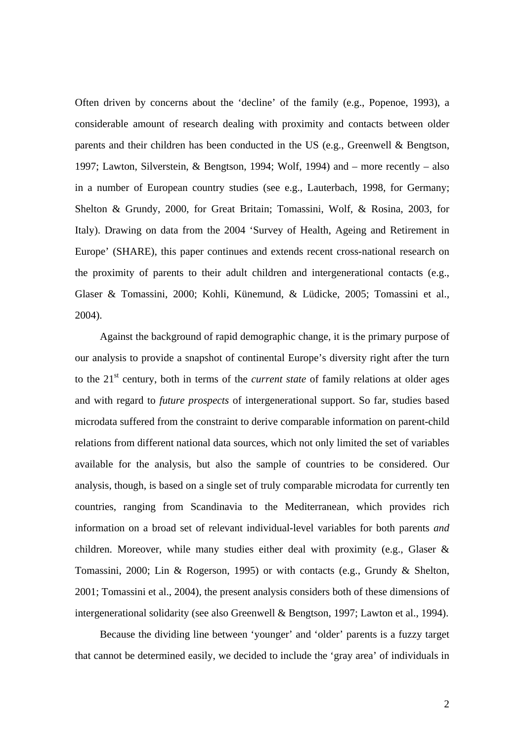Often driven by concerns about the 'decline' of the family (e.g., Popenoe, 1993), a considerable amount of research dealing with proximity and contacts between older parents and their children has been conducted in the US (e.g., Greenwell & Bengtson, 1997; Lawton, Silverstein, & Bengtson, 1994; Wolf, 1994) and – more recently – also in a number of European country studies (see e.g., Lauterbach, 1998, for Germany; Shelton & Grundy, 2000, for Great Britain; Tomassini, Wolf, & Rosina, 2003, for Italy). Drawing on data from the 2004 'Survey of Health, Ageing and Retirement in Europe' (SHARE), this paper continues and extends recent cross-national research on the proximity of parents to their adult children and intergenerational contacts (e.g., Glaser & Tomassini, 2000; Kohli, Künemund, & Lüdicke, 2005; Tomassini et al., 2004).

Against the background of rapid demographic change, it is the primary purpose of our analysis to provide a snapshot of continental Europe's diversity right after the turn to the 21<sup>st</sup> century, both in terms of the *current state* of family relations at older ages and with regard to *future prospects* of intergenerational support. So far, studies based microdata suffered from the constraint to derive comparable information on parent-child relations from different national data sources, which not only limited the set of variables available for the analysis, but also the sample of countries to be considered. Our analysis, though, is based on a single set of truly comparable microdata for currently ten countries, ranging from Scandinavia to the Mediterranean, which provides rich information on a broad set of relevant individual-level variables for both parents *and* children. Moreover, while many studies either deal with proximity (e.g., Glaser & Tomassini, 2000; Lin & Rogerson, 1995) or with contacts (e.g., Grundy & Shelton, 2001; Tomassini et al., 2004), the present analysis considers both of these dimensions of intergenerational solidarity (see also Greenwell & Bengtson, 1997; Lawton et al., 1994).

Because the dividing line between 'younger' and 'older' parents is a fuzzy target that cannot be determined easily, we decided to include the 'gray area' of individuals in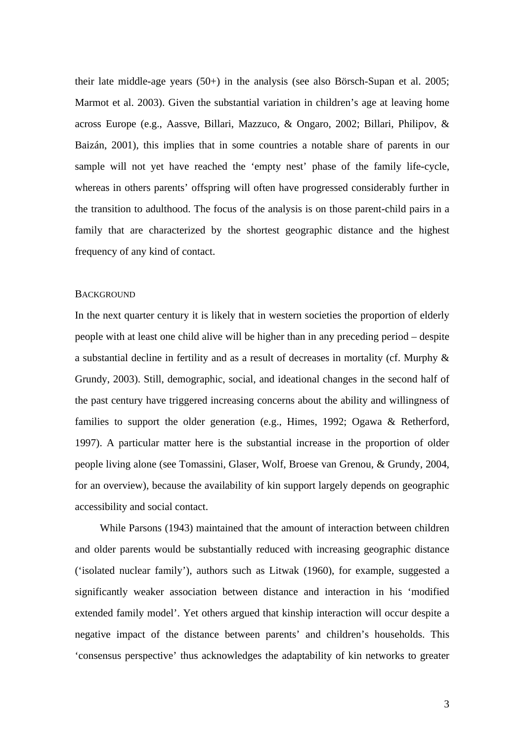their late middle-age years (50+) in the analysis (see also Börsch-Supan et al. 2005; Marmot et al. 2003). Given the substantial variation in children's age at leaving home across Europe (e.g., Aassve, Billari, Mazzuco, & Ongaro, 2002; Billari, Philipov, & Baizán, 2001), this implies that in some countries a notable share of parents in our sample will not yet have reached the 'empty nest' phase of the family life-cycle, whereas in others parents' offspring will often have progressed considerably further in the transition to adulthood. The focus of the analysis is on those parent-child pairs in a family that are characterized by the shortest geographic distance and the highest frequency of any kind of contact.

#### **BACKGROUND**

In the next quarter century it is likely that in western societies the proportion of elderly people with at least one child alive will be higher than in any preceding period – despite a substantial decline in fertility and as a result of decreases in mortality (cf. Murphy & Grundy, 2003). Still, demographic, social, and ideational changes in the second half of the past century have triggered increasing concerns about the ability and willingness of families to support the older generation (e.g., Himes, 1992; Ogawa & Retherford, 1997). A particular matter here is the substantial increase in the proportion of older people living alone (see Tomassini, Glaser, Wolf, Broese van Grenou, & Grundy, 2004, for an overview), because the availability of kin support largely depends on geographic accessibility and social contact.

While Parsons (1943) maintained that the amount of interaction between children and older parents would be substantially reduced with increasing geographic distance ('isolated nuclear family'), authors such as Litwak (1960), for example, suggested a significantly weaker association between distance and interaction in his 'modified extended family model'. Yet others argued that kinship interaction will occur despite a negative impact of the distance between parents' and children's households. This 'consensus perspective' thus acknowledges the adaptability of kin networks to greater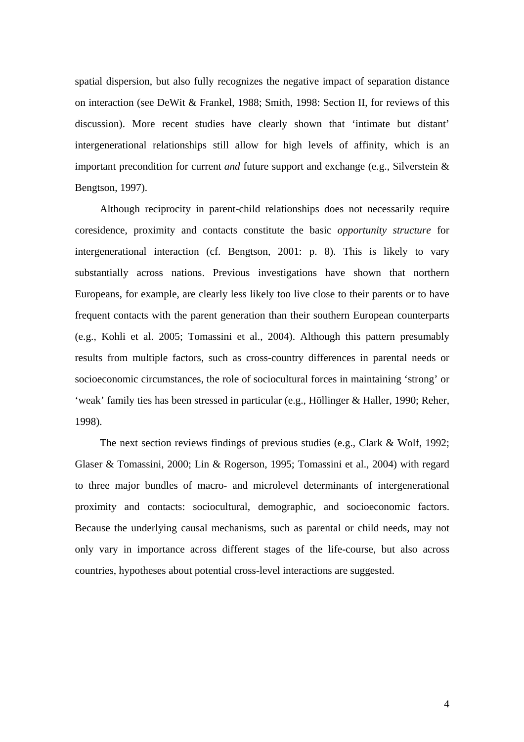spatial dispersion, but also fully recognizes the negative impact of separation distance on interaction (see DeWit & Frankel, 1988; Smith, 1998: Section II, for reviews of this discussion). More recent studies have clearly shown that 'intimate but distant' intergenerational relationships still allow for high levels of affinity, which is an important precondition for current *and* future support and exchange (e.g., Silverstein & Bengtson, 1997).

Although reciprocity in parent-child relationships does not necessarily require coresidence, proximity and contacts constitute the basic *opportunity structure* for intergenerational interaction (cf. Bengtson, 2001: p. 8). This is likely to vary substantially across nations. Previous investigations have shown that northern Europeans, for example, are clearly less likely too live close to their parents or to have frequent contacts with the parent generation than their southern European counterparts (e.g., Kohli et al. 2005; Tomassini et al., 2004). Although this pattern presumably results from multiple factors, such as cross-country differences in parental needs or socioeconomic circumstances, the role of sociocultural forces in maintaining 'strong' or 'weak' family ties has been stressed in particular (e.g., Höllinger & Haller, 1990; Reher, 1998).

The next section reviews findings of previous studies (e.g., Clark & Wolf, 1992; Glaser & Tomassini, 2000; Lin & Rogerson, 1995; Tomassini et al., 2004) with regard to three major bundles of macro- and microlevel determinants of intergenerational proximity and contacts: sociocultural, demographic, and socioeconomic factors. Because the underlying causal mechanisms, such as parental or child needs, may not only vary in importance across different stages of the life-course, but also across countries, hypotheses about potential cross-level interactions are suggested.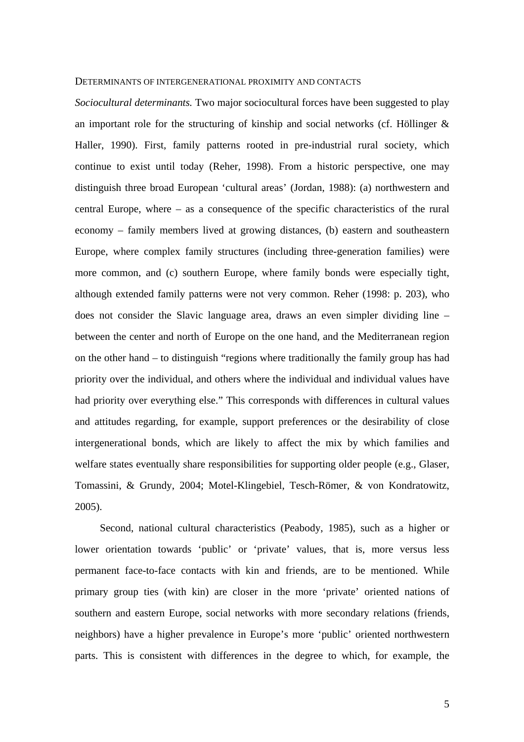#### DETERMINANTS OF INTERGENERATIONAL PROXIMITY AND CONTACTS

*Sociocultural determinants.* Two major sociocultural forces have been suggested to play an important role for the structuring of kinship and social networks (cf. Höllinger  $\&$ Haller, 1990). First, family patterns rooted in pre-industrial rural society, which continue to exist until today (Reher, 1998). From a historic perspective, one may distinguish three broad European 'cultural areas' (Jordan, 1988): (a) northwestern and central Europe, where – as a consequence of the specific characteristics of the rural economy – family members lived at growing distances, (b) eastern and southeastern Europe, where complex family structures (including three-generation families) were more common, and (c) southern Europe, where family bonds were especially tight, although extended family patterns were not very common. Reher (1998: p. 203), who does not consider the Slavic language area, draws an even simpler dividing line – between the center and north of Europe on the one hand, and the Mediterranean region on the other hand – to distinguish "regions where traditionally the family group has had priority over the individual, and others where the individual and individual values have had priority over everything else." This corresponds with differences in cultural values and attitudes regarding, for example, support preferences or the desirability of close intergenerational bonds, which are likely to affect the mix by which families and welfare states eventually share responsibilities for supporting older people (e.g., Glaser, Tomassini, & Grundy, 2004; Motel-Klingebiel, Tesch-Römer, & von Kondratowitz, 2005).

Second, national cultural characteristics (Peabody, 1985), such as a higher or lower orientation towards 'public' or 'private' values, that is, more versus less permanent face-to-face contacts with kin and friends, are to be mentioned. While primary group ties (with kin) are closer in the more 'private' oriented nations of southern and eastern Europe, social networks with more secondary relations (friends, neighbors) have a higher prevalence in Europe's more 'public' oriented northwestern parts. This is consistent with differences in the degree to which, for example, the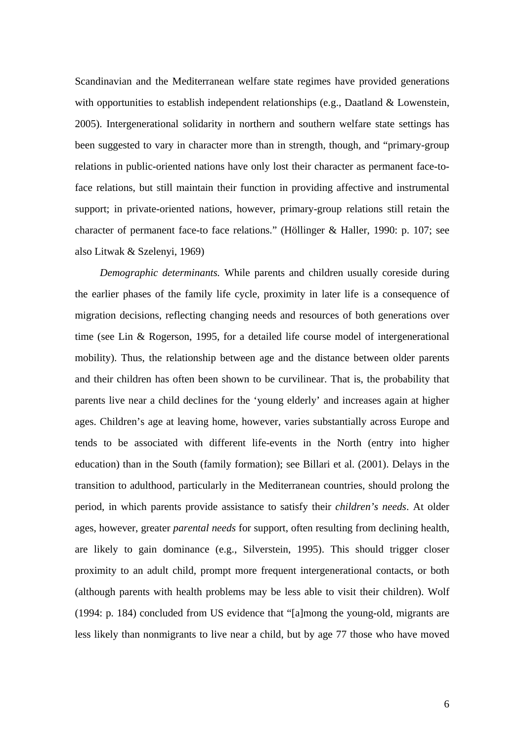Scandinavian and the Mediterranean welfare state regimes have provided generations with opportunities to establish independent relationships (e.g., Daatland & Lowenstein, 2005). Intergenerational solidarity in northern and southern welfare state settings has been suggested to vary in character more than in strength, though, and "primary-group relations in public-oriented nations have only lost their character as permanent face-toface relations, but still maintain their function in providing affective and instrumental support; in private-oriented nations, however, primary-group relations still retain the character of permanent face-to face relations." (Höllinger & Haller, 1990: p. 107; see also Litwak & Szelenyi, 1969)

*Demographic determinants.* While parents and children usually coreside during the earlier phases of the family life cycle, proximity in later life is a consequence of migration decisions, reflecting changing needs and resources of both generations over time (see Lin & Rogerson, 1995, for a detailed life course model of intergenerational mobility). Thus, the relationship between age and the distance between older parents and their children has often been shown to be curvilinear. That is, the probability that parents live near a child declines for the 'young elderly' and increases again at higher ages. Children's age at leaving home, however, varies substantially across Europe and tends to be associated with different life-events in the North (entry into higher education) than in the South (family formation); see Billari et al. (2001). Delays in the transition to adulthood, particularly in the Mediterranean countries, should prolong the period, in which parents provide assistance to satisfy their *children's needs*. At older ages, however, greater *parental needs* for support, often resulting from declining health, are likely to gain dominance (e.g., Silverstein, 1995). This should trigger closer proximity to an adult child, prompt more frequent intergenerational contacts, or both (although parents with health problems may be less able to visit their children). Wolf (1994: p. 184) concluded from US evidence that "[a]mong the young-old, migrants are less likely than nonmigrants to live near a child, but by age 77 those who have moved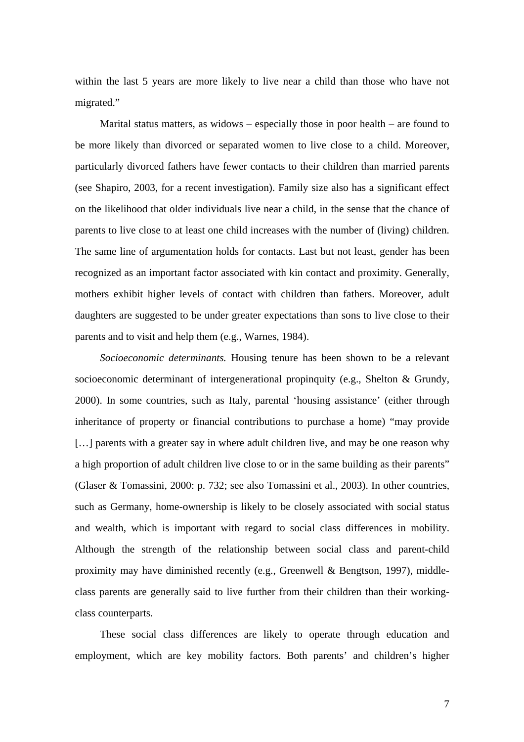within the last 5 years are more likely to live near a child than those who have not migrated."

Marital status matters, as widows – especially those in poor health – are found to be more likely than divorced or separated women to live close to a child. Moreover, particularly divorced fathers have fewer contacts to their children than married parents (see Shapiro, 2003, for a recent investigation). Family size also has a significant effect on the likelihood that older individuals live near a child, in the sense that the chance of parents to live close to at least one child increases with the number of (living) children. The same line of argumentation holds for contacts. Last but not least, gender has been recognized as an important factor associated with kin contact and proximity. Generally, mothers exhibit higher levels of contact with children than fathers. Moreover, adult daughters are suggested to be under greater expectations than sons to live close to their parents and to visit and help them (e.g., Warnes, 1984).

*Socioeconomic determinants.* Housing tenure has been shown to be a relevant socioeconomic determinant of intergenerational propinquity (e.g., Shelton & Grundy, 2000). In some countries, such as Italy, parental 'housing assistance' (either through inheritance of property or financial contributions to purchase a home) "may provide [...] parents with a greater say in where adult children live, and may be one reason why a high proportion of adult children live close to or in the same building as their parents" (Glaser & Tomassini, 2000: p. 732; see also Tomassini et al., 2003). In other countries, such as Germany, home-ownership is likely to be closely associated with social status and wealth, which is important with regard to social class differences in mobility. Although the strength of the relationship between social class and parent-child proximity may have diminished recently (e.g., Greenwell & Bengtson, 1997), middleclass parents are generally said to live further from their children than their workingclass counterparts.

These social class differences are likely to operate through education and employment, which are key mobility factors. Both parents' and children's higher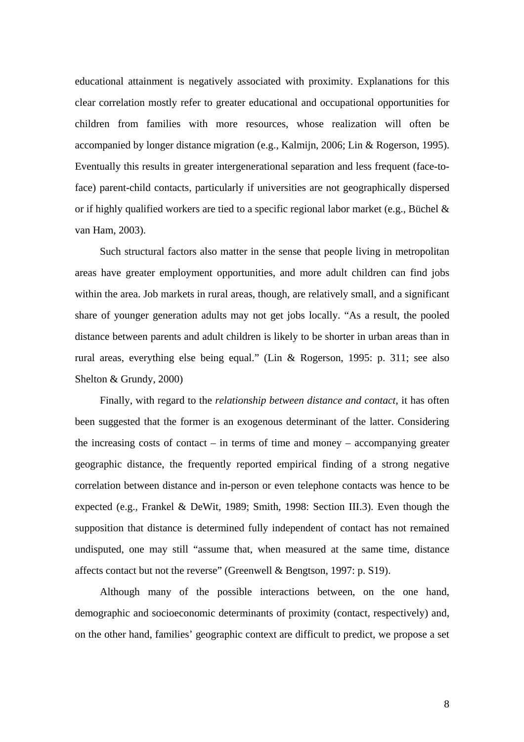educational attainment is negatively associated with proximity. Explanations for this clear correlation mostly refer to greater educational and occupational opportunities for children from families with more resources, whose realization will often be accompanied by longer distance migration (e.g., Kalmijn, 2006; Lin & Rogerson, 1995). Eventually this results in greater intergenerational separation and less frequent (face-toface) parent-child contacts, particularly if universities are not geographically dispersed or if highly qualified workers are tied to a specific regional labor market (e.g., Büchel & van Ham, 2003).

Such structural factors also matter in the sense that people living in metropolitan areas have greater employment opportunities, and more adult children can find jobs within the area. Job markets in rural areas, though, are relatively small, and a significant share of younger generation adults may not get jobs locally. "As a result, the pooled distance between parents and adult children is likely to be shorter in urban areas than in rural areas, everything else being equal." (Lin & Rogerson, 1995: p. 311; see also Shelton & Grundy, 2000)

Finally, with regard to the *relationship between distance and contact*, it has often been suggested that the former is an exogenous determinant of the latter. Considering the increasing costs of contact – in terms of time and money – accompanying greater geographic distance, the frequently reported empirical finding of a strong negative correlation between distance and in-person or even telephone contacts was hence to be expected (e.g., Frankel & DeWit, 1989; Smith, 1998: Section III.3). Even though the supposition that distance is determined fully independent of contact has not remained undisputed, one may still "assume that, when measured at the same time, distance affects contact but not the reverse" (Greenwell & Bengtson, 1997: p. S19).

Although many of the possible interactions between, on the one hand, demographic and socioeconomic determinants of proximity (contact, respectively) and, on the other hand, families' geographic context are difficult to predict, we propose a set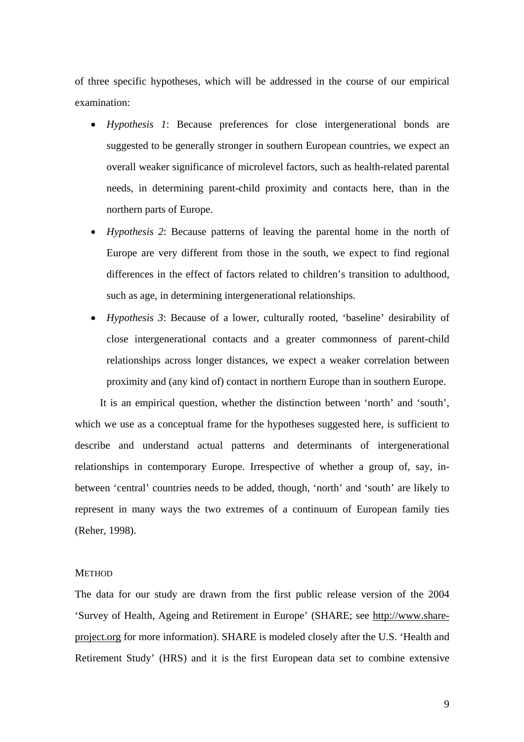of three specific hypotheses, which will be addressed in the course of our empirical examination:

- *Hypothesis 1*: Because preferences for close intergenerational bonds are suggested to be generally stronger in southern European countries, we expect an overall weaker significance of microlevel factors, such as health-related parental needs, in determining parent-child proximity and contacts here, than in the northern parts of Europe.
- *Hypothesis 2*: Because patterns of leaving the parental home in the north of Europe are very different from those in the south, we expect to find regional differences in the effect of factors related to children's transition to adulthood, such as age, in determining intergenerational relationships.
- *Hypothesis 3*: Because of a lower, culturally rooted, 'baseline' desirability of close intergenerational contacts and a greater commonness of parent-child relationships across longer distances, we expect a weaker correlation between proximity and (any kind of) contact in northern Europe than in southern Europe.

It is an empirical question, whether the distinction between 'north' and 'south', which we use as a conceptual frame for the hypotheses suggested here, is sufficient to describe and understand actual patterns and determinants of intergenerational relationships in contemporary Europe. Irrespective of whether a group of, say, inbetween 'central' countries needs to be added, though, 'north' and 'south' are likely to represent in many ways the two extremes of a continuum of European family ties (Reher, 1998).

#### **METHOD**

The data for our study are drawn from the first public release version of the 2004 'Survey of Health, Ageing and Retirement in Europe' (SHARE; see http://www.shareproject.org for more information). SHARE is modeled closely after the U.S. 'Health and Retirement Study' (HRS) and it is the first European data set to combine extensive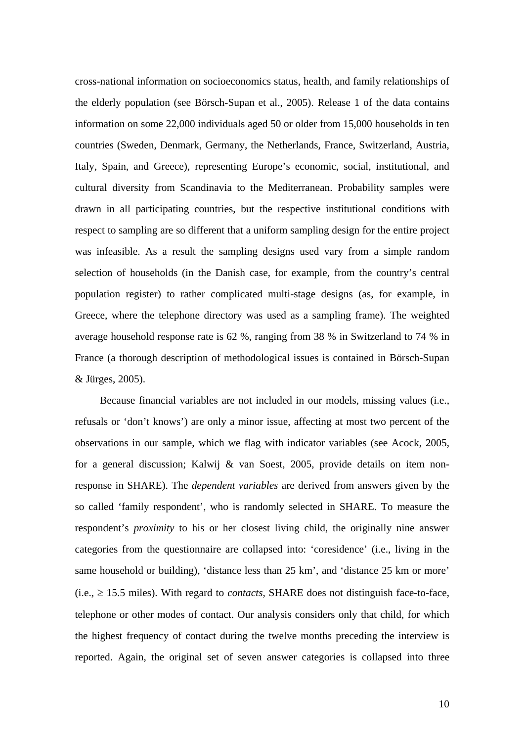cross-national information on socioeconomics status, health, and family relationships of the elderly population (see Börsch-Supan et al., 2005). Release 1 of the data contains information on some 22,000 individuals aged 50 or older from 15,000 households in ten countries (Sweden, Denmark, Germany, the Netherlands, France, Switzerland, Austria, Italy, Spain, and Greece), representing Europe's economic, social, institutional, and cultural diversity from Scandinavia to the Mediterranean. Probability samples were drawn in all participating countries, but the respective institutional conditions with respect to sampling are so different that a uniform sampling design for the entire project was infeasible. As a result the sampling designs used vary from a simple random selection of households (in the Danish case, for example, from the country's central population register) to rather complicated multi-stage designs (as, for example, in Greece, where the telephone directory was used as a sampling frame). The weighted average household response rate is 62 %, ranging from 38 % in Switzerland to 74 % in France (a thorough description of methodological issues is contained in Börsch-Supan & Jürges, 2005).

Because financial variables are not included in our models, missing values (i.e., refusals or 'don't knows') are only a minor issue, affecting at most two percent of the observations in our sample, which we flag with indicator variables (see Acock, 2005, for a general discussion; Kalwij & van Soest, 2005, provide details on item nonresponse in SHARE). The *dependent variables* are derived from answers given by the so called 'family respondent', who is randomly selected in SHARE. To measure the respondent's *proximity* to his or her closest living child, the originally nine answer categories from the questionnaire are collapsed into: 'coresidence' (i.e., living in the same household or building), 'distance less than 25 km', and 'distance 25 km or more'  $(i.e.,  $\geq 15.5$  miles)$ . With regard to *contacts*, SHARE does not distinguish face-to-face, telephone or other modes of contact. Our analysis considers only that child, for which the highest frequency of contact during the twelve months preceding the interview is reported. Again, the original set of seven answer categories is collapsed into three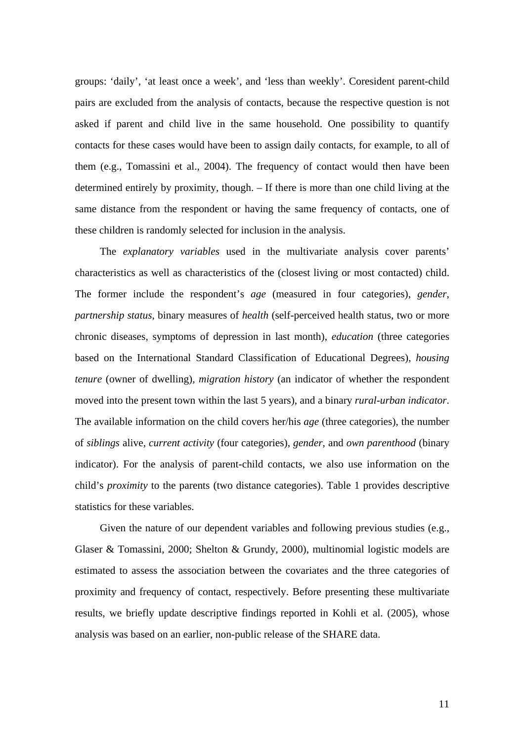groups: 'daily', 'at least once a week', and 'less than weekly'. Coresident parent-child pairs are excluded from the analysis of contacts, because the respective question is not asked if parent and child live in the same household. One possibility to quantify contacts for these cases would have been to assign daily contacts, for example, to all of them (e.g., Tomassini et al., 2004). The frequency of contact would then have been determined entirely by proximity, though. – If there is more than one child living at the same distance from the respondent or having the same frequency of contacts, one of these children is randomly selected for inclusion in the analysis.

The *explanatory variables* used in the multivariate analysis cover parents' characteristics as well as characteristics of the (closest living or most contacted) child. The former include the respondent's *age* (measured in four categories), *gender*, *partnership status*, binary measures of *health* (self-perceived health status, two or more chronic diseases, symptoms of depression in last month), *education* (three categories based on the International Standard Classification of Educational Degrees), *housing tenure* (owner of dwelling), *migration history* (an indicator of whether the respondent moved into the present town within the last 5 years), and a binary *rural-urban indicator*. The available information on the child covers her/his *age* (three categories), the number of *siblings* alive, *current activity* (four categories), *gender*, and *own parenthood* (binary indicator). For the analysis of parent-child contacts, we also use information on the child's *proximity* to the parents (two distance categories). Table 1 provides descriptive statistics for these variables.

Given the nature of our dependent variables and following previous studies (e.g., Glaser & Tomassini, 2000; Shelton & Grundy, 2000), multinomial logistic models are estimated to assess the association between the covariates and the three categories of proximity and frequency of contact, respectively. Before presenting these multivariate results, we briefly update descriptive findings reported in Kohli et al. (2005), whose analysis was based on an earlier, non-public release of the SHARE data.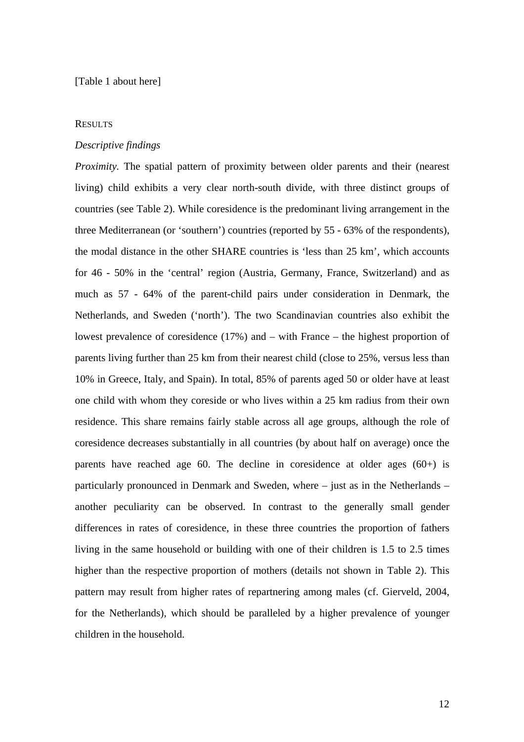## **RESULTS**

#### *Descriptive findings*

*Proximity.* The spatial pattern of proximity between older parents and their (nearest living) child exhibits a very clear north-south divide, with three distinct groups of countries (see Table 2). While coresidence is the predominant living arrangement in the three Mediterranean (or 'southern') countries (reported by 55 - 63% of the respondents), the modal distance in the other SHARE countries is 'less than 25 km', which accounts for 46 - 50% in the 'central' region (Austria, Germany, France, Switzerland) and as much as 57 - 64% of the parent-child pairs under consideration in Denmark, the Netherlands, and Sweden ('north'). The two Scandinavian countries also exhibit the lowest prevalence of coresidence (17%) and – with France – the highest proportion of parents living further than 25 km from their nearest child (close to 25%, versus less than 10% in Greece, Italy, and Spain). In total, 85% of parents aged 50 or older have at least one child with whom they coreside or who lives within a 25 km radius from their own residence. This share remains fairly stable across all age groups, although the role of coresidence decreases substantially in all countries (by about half on average) once the parents have reached age 60. The decline in coresidence at older ages (60+) is particularly pronounced in Denmark and Sweden, where – just as in the Netherlands – another peculiarity can be observed. In contrast to the generally small gender differences in rates of coresidence, in these three countries the proportion of fathers living in the same household or building with one of their children is 1.5 to 2.5 times higher than the respective proportion of mothers (details not shown in Table 2). This pattern may result from higher rates of repartnering among males (cf. Gierveld, 2004, for the Netherlands), which should be paralleled by a higher prevalence of younger children in the household.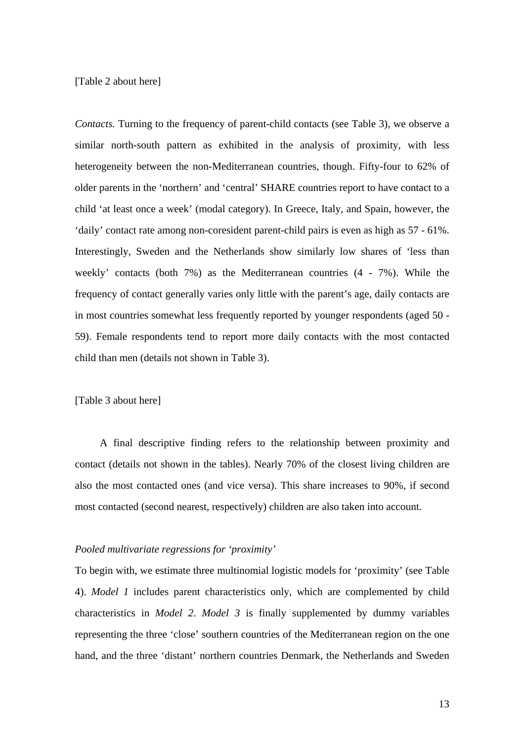## [Table 2 about here]

*Contacts.* Turning to the frequency of parent-child contacts (see Table 3), we observe a similar north-south pattern as exhibited in the analysis of proximity, with less heterogeneity between the non-Mediterranean countries, though. Fifty-four to 62% of older parents in the 'northern' and 'central' SHARE countries report to have contact to a child 'at least once a week' (modal category). In Greece, Italy, and Spain, however, the 'daily' contact rate among non-coresident parent-child pairs is even as high as 57 - 61%. Interestingly, Sweden and the Netherlands show similarly low shares of 'less than weekly' contacts (both 7%) as the Mediterranean countries (4 - 7%). While the frequency of contact generally varies only little with the parent's age, daily contacts are in most countries somewhat less frequently reported by younger respondents (aged 50 - 59). Female respondents tend to report more daily contacts with the most contacted child than men (details not shown in Table 3).

## [Table 3 about here]

A final descriptive finding refers to the relationship between proximity and contact (details not shown in the tables). Nearly 70% of the closest living children are also the most contacted ones (and vice versa). This share increases to 90%, if second most contacted (second nearest, respectively) children are also taken into account.

## *Pooled multivariate regressions for 'proximity'*

To begin with, we estimate three multinomial logistic models for 'proximity' (see Table 4). *Model 1* includes parent characteristics only, which are complemented by child characteristics in *Model 2*. *Model 3* is finally supplemented by dummy variables representing the three 'close' southern countries of the Mediterranean region on the one hand, and the three 'distant' northern countries Denmark, the Netherlands and Sweden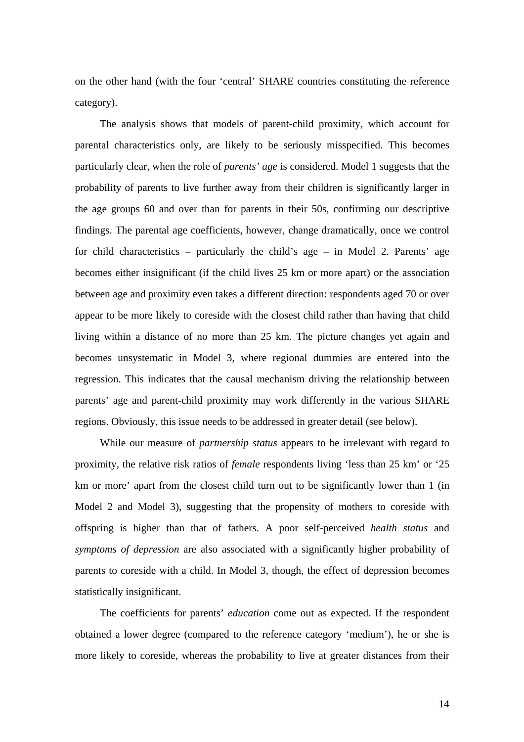on the other hand (with the four 'central' SHARE countries constituting the reference category).

The analysis shows that models of parent-child proximity, which account for parental characteristics only, are likely to be seriously misspecified. This becomes particularly clear, when the role of *parents' age* is considered. Model 1 suggests that the probability of parents to live further away from their children is significantly larger in the age groups 60 and over than for parents in their 50s, confirming our descriptive findings. The parental age coefficients, however, change dramatically, once we control for child characteristics – particularly the child's age – in Model 2. Parents' age becomes either insignificant (if the child lives 25 km or more apart) or the association between age and proximity even takes a different direction: respondents aged 70 or over appear to be more likely to coreside with the closest child rather than having that child living within a distance of no more than 25 km. The picture changes yet again and becomes unsystematic in Model 3, where regional dummies are entered into the regression. This indicates that the causal mechanism driving the relationship between parents' age and parent-child proximity may work differently in the various SHARE regions. Obviously, this issue needs to be addressed in greater detail (see below).

While our measure of *partnership status* appears to be irrelevant with regard to proximity, the relative risk ratios of *female* respondents living 'less than 25 km' or '25 km or more' apart from the closest child turn out to be significantly lower than 1 (in Model 2 and Model 3), suggesting that the propensity of mothers to coreside with offspring is higher than that of fathers. A poor self-perceived *health status* and *symptoms of depression* are also associated with a significantly higher probability of parents to coreside with a child. In Model 3, though, the effect of depression becomes statistically insignificant.

The coefficients for parents' *education* come out as expected. If the respondent obtained a lower degree (compared to the reference category 'medium'), he or she is more likely to coreside, whereas the probability to live at greater distances from their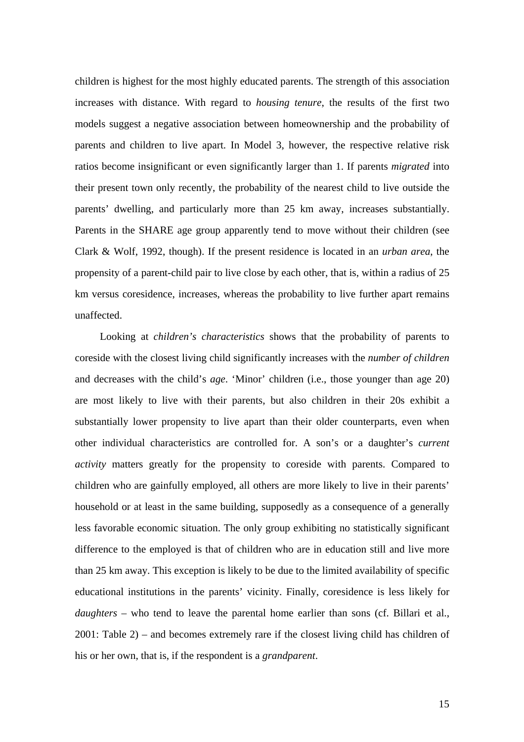children is highest for the most highly educated parents. The strength of this association increases with distance. With regard to *housing tenure*, the results of the first two models suggest a negative association between homeownership and the probability of parents and children to live apart. In Model 3, however, the respective relative risk ratios become insignificant or even significantly larger than 1. If parents *migrated* into their present town only recently, the probability of the nearest child to live outside the parents' dwelling, and particularly more than 25 km away, increases substantially. Parents in the SHARE age group apparently tend to move without their children (see Clark & Wolf, 1992, though). If the present residence is located in an *urban area*, the propensity of a parent-child pair to live close by each other, that is, within a radius of 25 km versus coresidence, increases, whereas the probability to live further apart remains unaffected.

Looking at *children's characteristics* shows that the probability of parents to coreside with the closest living child significantly increases with the *number of children* and decreases with the child's *age*. 'Minor' children (i.e., those younger than age 20) are most likely to live with their parents, but also children in their 20s exhibit a substantially lower propensity to live apart than their older counterparts, even when other individual characteristics are controlled for. A son's or a daughter's *current activity* matters greatly for the propensity to coreside with parents. Compared to children who are gainfully employed, all others are more likely to live in their parents' household or at least in the same building, supposedly as a consequence of a generally less favorable economic situation. The only group exhibiting no statistically significant difference to the employed is that of children who are in education still and live more than 25 km away. This exception is likely to be due to the limited availability of specific educational institutions in the parents' vicinity. Finally, coresidence is less likely for *daughters* – who tend to leave the parental home earlier than sons (cf. Billari et al., 2001: Table 2) – and becomes extremely rare if the closest living child has children of his or her own, that is, if the respondent is a *grandparent*.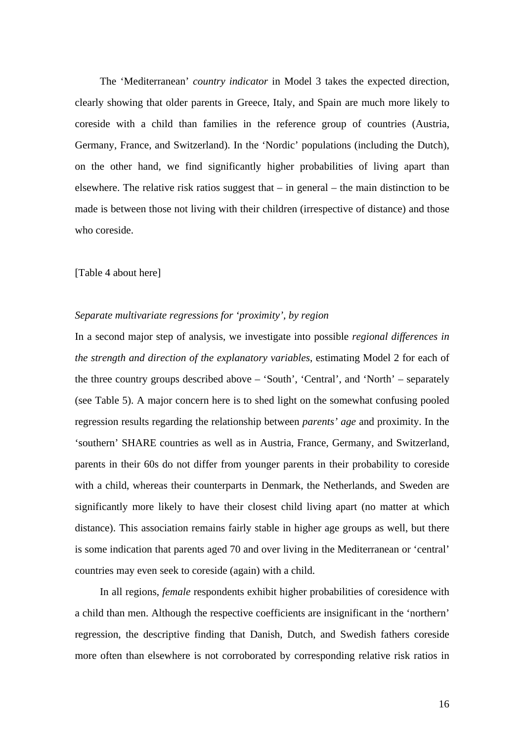The 'Mediterranean' *country indicator* in Model 3 takes the expected direction, clearly showing that older parents in Greece, Italy, and Spain are much more likely to coreside with a child than families in the reference group of countries (Austria, Germany, France, and Switzerland). In the 'Nordic' populations (including the Dutch), on the other hand, we find significantly higher probabilities of living apart than elsewhere. The relative risk ratios suggest that – in general – the main distinction to be made is between those not living with their children (irrespective of distance) and those who coreside.

#### [Table 4 about here]

## *Separate multivariate regressions for 'proximity', by region*

In a second major step of analysis, we investigate into possible *regional differences in the strength and direction of the explanatory variables*, estimating Model 2 for each of the three country groups described above – 'South', 'Central', and 'North' – separately (see Table 5). A major concern here is to shed light on the somewhat confusing pooled regression results regarding the relationship between *parents' age* and proximity. In the 'southern' SHARE countries as well as in Austria, France, Germany, and Switzerland, parents in their 60s do not differ from younger parents in their probability to coreside with a child, whereas their counterparts in Denmark, the Netherlands, and Sweden are significantly more likely to have their closest child living apart (no matter at which distance). This association remains fairly stable in higher age groups as well, but there is some indication that parents aged 70 and over living in the Mediterranean or 'central' countries may even seek to coreside (again) with a child.

In all regions, *female* respondents exhibit higher probabilities of coresidence with a child than men. Although the respective coefficients are insignificant in the 'northern' regression, the descriptive finding that Danish, Dutch, and Swedish fathers coreside more often than elsewhere is not corroborated by corresponding relative risk ratios in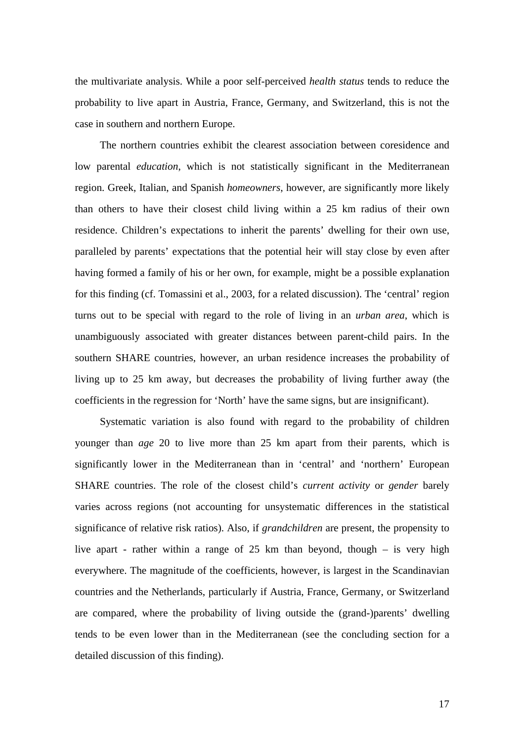the multivariate analysis. While a poor self-perceived *health status* tends to reduce the probability to live apart in Austria, France, Germany, and Switzerland, this is not the case in southern and northern Europe.

The northern countries exhibit the clearest association between coresidence and low parental *education*, which is not statistically significant in the Mediterranean region. Greek, Italian, and Spanish *homeowners*, however, are significantly more likely than others to have their closest child living within a 25 km radius of their own residence. Children's expectations to inherit the parents' dwelling for their own use, paralleled by parents' expectations that the potential heir will stay close by even after having formed a family of his or her own, for example, might be a possible explanation for this finding (cf. Tomassini et al., 2003, for a related discussion). The 'central' region turns out to be special with regard to the role of living in an *urban area*, which is unambiguously associated with greater distances between parent-child pairs. In the southern SHARE countries, however, an urban residence increases the probability of living up to 25 km away, but decreases the probability of living further away (the coefficients in the regression for 'North' have the same signs, but are insignificant).

Systematic variation is also found with regard to the probability of children younger than *age* 20 to live more than 25 km apart from their parents, which is significantly lower in the Mediterranean than in 'central' and 'northern' European SHARE countries. The role of the closest child's *current activity* or *gender* barely varies across regions (not accounting for unsystematic differences in the statistical significance of relative risk ratios). Also, if *grandchildren* are present, the propensity to live apart - rather within a range of 25 km than beyond, though – is very high everywhere. The magnitude of the coefficients, however, is largest in the Scandinavian countries and the Netherlands, particularly if Austria, France, Germany, or Switzerland are compared, where the probability of living outside the (grand-)parents' dwelling tends to be even lower than in the Mediterranean (see the concluding section for a detailed discussion of this finding).

17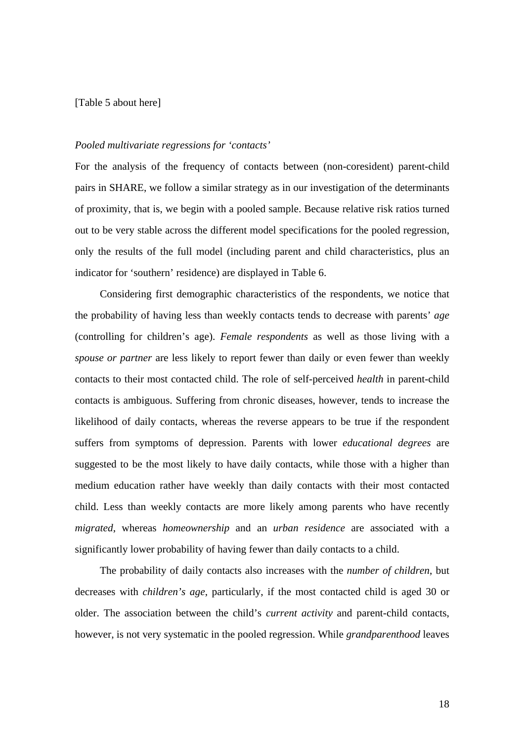## [Table 5 about here]

## *Pooled multivariate regressions for 'contacts'*

For the analysis of the frequency of contacts between (non-coresident) parent-child pairs in SHARE, we follow a similar strategy as in our investigation of the determinants of proximity, that is, we begin with a pooled sample. Because relative risk ratios turned out to be very stable across the different model specifications for the pooled regression, only the results of the full model (including parent and child characteristics, plus an indicator for 'southern' residence) are displayed in Table 6.

Considering first demographic characteristics of the respondents, we notice that the probability of having less than weekly contacts tends to decrease with parents' *age* (controlling for children's age). *Female respondents* as well as those living with a *spouse or partner* are less likely to report fewer than daily or even fewer than weekly contacts to their most contacted child. The role of self-perceived *health* in parent-child contacts is ambiguous. Suffering from chronic diseases, however, tends to increase the likelihood of daily contacts, whereas the reverse appears to be true if the respondent suffers from symptoms of depression. Parents with lower *educational degrees* are suggested to be the most likely to have daily contacts, while those with a higher than medium education rather have weekly than daily contacts with their most contacted child. Less than weekly contacts are more likely among parents who have recently *migrated*, whereas *homeownership* and an *urban residence* are associated with a significantly lower probability of having fewer than daily contacts to a child.

The probability of daily contacts also increases with the *number of children*, but decreases with *children's age*, particularly, if the most contacted child is aged 30 or older. The association between the child's *current activity* and parent-child contacts, however, is not very systematic in the pooled regression. While *grandparenthood* leaves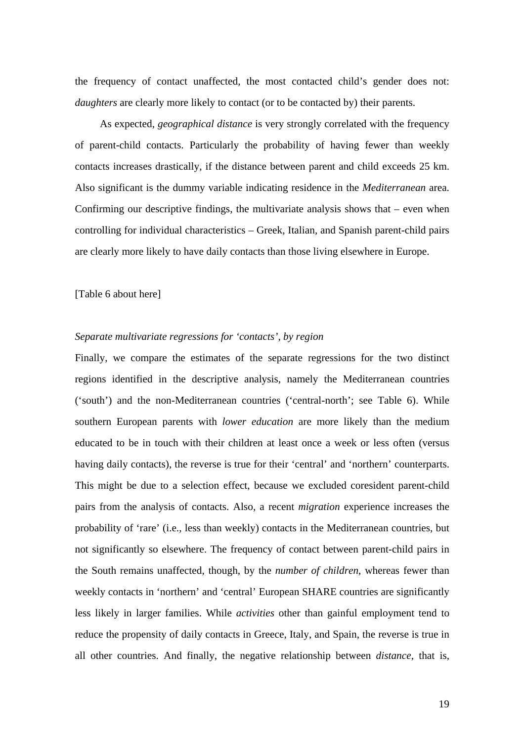the frequency of contact unaffected, the most contacted child's gender does not: *daughters* are clearly more likely to contact (or to be contacted by) their parents.

As expected, *geographical distance* is very strongly correlated with the frequency of parent-child contacts. Particularly the probability of having fewer than weekly contacts increases drastically, if the distance between parent and child exceeds 25 km. Also significant is the dummy variable indicating residence in the *Mediterranean* area. Confirming our descriptive findings, the multivariate analysis shows that – even when controlling for individual characteristics – Greek, Italian, and Spanish parent-child pairs are clearly more likely to have daily contacts than those living elsewhere in Europe.

[Table 6 about here]

## *Separate multivariate regressions for 'contacts', by region*

Finally, we compare the estimates of the separate regressions for the two distinct regions identified in the descriptive analysis, namely the Mediterranean countries ('south') and the non-Mediterranean countries ('central-north'; see Table 6). While southern European parents with *lower education* are more likely than the medium educated to be in touch with their children at least once a week or less often (versus having daily contacts), the reverse is true for their 'central' and 'northern' counterparts. This might be due to a selection effect, because we excluded coresident parent-child pairs from the analysis of contacts. Also, a recent *migration* experience increases the probability of 'rare' (i.e., less than weekly) contacts in the Mediterranean countries, but not significantly so elsewhere. The frequency of contact between parent-child pairs in the South remains unaffected, though, by the *number of children*, whereas fewer than weekly contacts in 'northern' and 'central' European SHARE countries are significantly less likely in larger families. While *activities* other than gainful employment tend to reduce the propensity of daily contacts in Greece, Italy, and Spain, the reverse is true in all other countries. And finally, the negative relationship between *distance*, that is,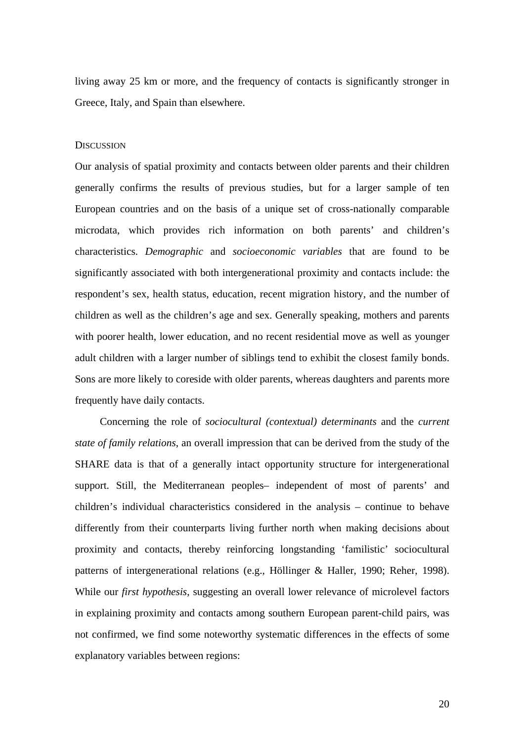living away 25 km or more, and the frequency of contacts is significantly stronger in Greece, Italy, and Spain than elsewhere.

#### **DISCUSSION**

Our analysis of spatial proximity and contacts between older parents and their children generally confirms the results of previous studies, but for a larger sample of ten European countries and on the basis of a unique set of cross-nationally comparable microdata, which provides rich information on both parents' and children's characteristics. *Demographic* and *socioeconomic variables* that are found to be significantly associated with both intergenerational proximity and contacts include: the respondent's sex, health status, education, recent migration history, and the number of children as well as the children's age and sex. Generally speaking, mothers and parents with poorer health, lower education, and no recent residential move as well as younger adult children with a larger number of siblings tend to exhibit the closest family bonds. Sons are more likely to coreside with older parents, whereas daughters and parents more frequently have daily contacts.

Concerning the role of *sociocultural (contextual) determinants* and the *current state of family relations*, an overall impression that can be derived from the study of the SHARE data is that of a generally intact opportunity structure for intergenerational support. Still, the Mediterranean peoples– independent of most of parents' and children's individual characteristics considered in the analysis – continue to behave differently from their counterparts living further north when making decisions about proximity and contacts, thereby reinforcing longstanding 'familistic' sociocultural patterns of intergenerational relations (e.g., Höllinger & Haller, 1990; Reher, 1998). While our *first hypothesis*, suggesting an overall lower relevance of microlevel factors in explaining proximity and contacts among southern European parent-child pairs, was not confirmed, we find some noteworthy systematic differences in the effects of some explanatory variables between regions: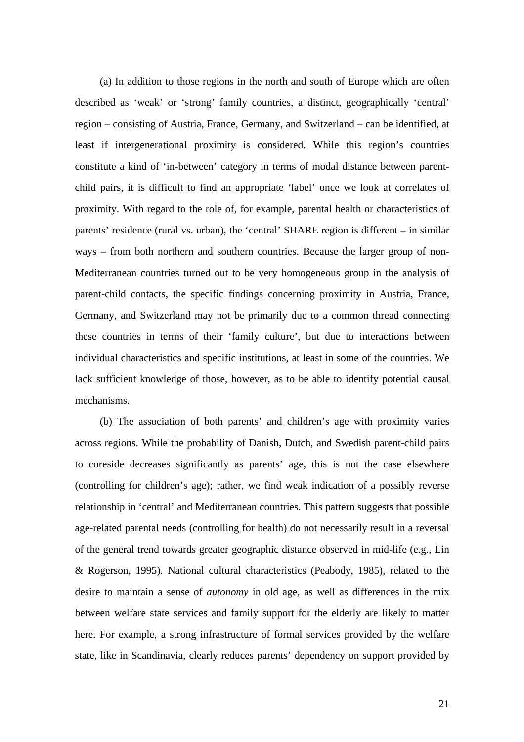(a) In addition to those regions in the north and south of Europe which are often described as 'weak' or 'strong' family countries, a distinct, geographically 'central' region – consisting of Austria, France, Germany, and Switzerland – can be identified, at least if intergenerational proximity is considered. While this region's countries constitute a kind of 'in-between' category in terms of modal distance between parentchild pairs, it is difficult to find an appropriate 'label' once we look at correlates of proximity. With regard to the role of, for example, parental health or characteristics of parents' residence (rural vs. urban), the 'central' SHARE region is different – in similar ways – from both northern and southern countries. Because the larger group of non-Mediterranean countries turned out to be very homogeneous group in the analysis of parent-child contacts, the specific findings concerning proximity in Austria, France, Germany, and Switzerland may not be primarily due to a common thread connecting these countries in terms of their 'family culture', but due to interactions between individual characteristics and specific institutions, at least in some of the countries. We lack sufficient knowledge of those, however, as to be able to identify potential causal mechanisms.

(b) The association of both parents' and children's age with proximity varies across regions. While the probability of Danish, Dutch, and Swedish parent-child pairs to coreside decreases significantly as parents' age, this is not the case elsewhere (controlling for children's age); rather, we find weak indication of a possibly reverse relationship in 'central' and Mediterranean countries. This pattern suggests that possible age-related parental needs (controlling for health) do not necessarily result in a reversal of the general trend towards greater geographic distance observed in mid-life (e.g., Lin & Rogerson, 1995). National cultural characteristics (Peabody, 1985), related to the desire to maintain a sense of *autonomy* in old age, as well as differences in the mix between welfare state services and family support for the elderly are likely to matter here. For example, a strong infrastructure of formal services provided by the welfare state, like in Scandinavia, clearly reduces parents' dependency on support provided by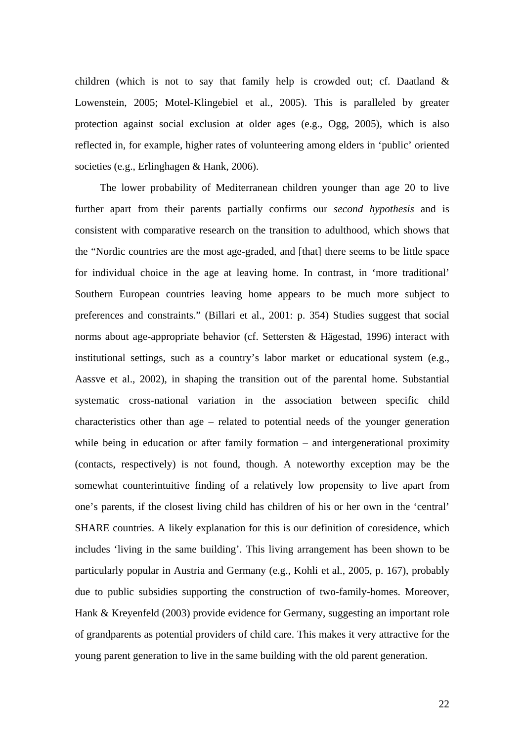children (which is not to say that family help is crowded out; cf. Daatland & Lowenstein, 2005; Motel-Klingebiel et al., 2005). This is paralleled by greater protection against social exclusion at older ages (e.g., Ogg, 2005), which is also reflected in, for example, higher rates of volunteering among elders in 'public' oriented societies (e.g., Erlinghagen & Hank, 2006).

The lower probability of Mediterranean children younger than age 20 to live further apart from their parents partially confirms our *second hypothesis* and is consistent with comparative research on the transition to adulthood, which shows that the "Nordic countries are the most age-graded, and [that] there seems to be little space for individual choice in the age at leaving home. In contrast, in 'more traditional' Southern European countries leaving home appears to be much more subject to preferences and constraints." (Billari et al., 2001: p. 354) Studies suggest that social norms about age-appropriate behavior (cf. Settersten & Hägestad, 1996) interact with institutional settings, such as a country's labor market or educational system (e.g., Aassve et al., 2002), in shaping the transition out of the parental home. Substantial systematic cross-national variation in the association between specific child characteristics other than age – related to potential needs of the younger generation while being in education or after family formation – and intergenerational proximity (contacts, respectively) is not found, though. A noteworthy exception may be the somewhat counterintuitive finding of a relatively low propensity to live apart from one's parents, if the closest living child has children of his or her own in the 'central' SHARE countries. A likely explanation for this is our definition of coresidence, which includes 'living in the same building'. This living arrangement has been shown to be particularly popular in Austria and Germany (e.g., Kohli et al., 2005, p. 167), probably due to public subsidies supporting the construction of two-family-homes. Moreover, Hank & Kreyenfeld (2003) provide evidence for Germany, suggesting an important role of grandparents as potential providers of child care. This makes it very attractive for the young parent generation to live in the same building with the old parent generation.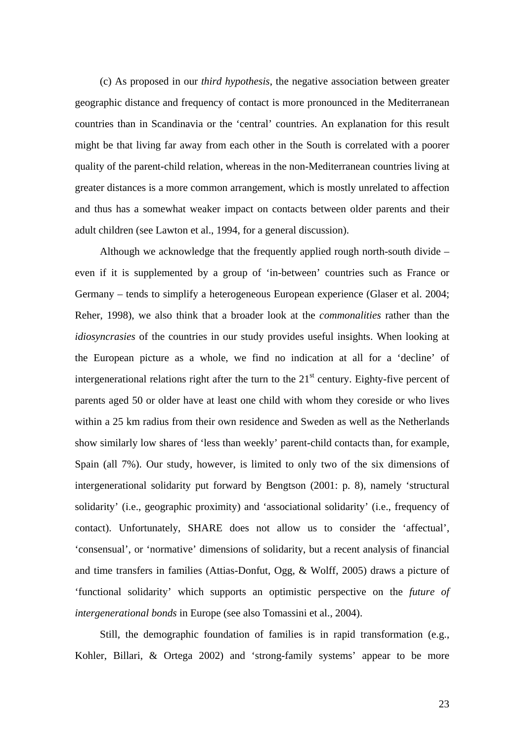(c) As proposed in our *third hypothesis*, the negative association between greater geographic distance and frequency of contact is more pronounced in the Mediterranean countries than in Scandinavia or the 'central' countries. An explanation for this result might be that living far away from each other in the South is correlated with a poorer quality of the parent-child relation, whereas in the non-Mediterranean countries living at greater distances is a more common arrangement, which is mostly unrelated to affection and thus has a somewhat weaker impact on contacts between older parents and their adult children (see Lawton et al., 1994, for a general discussion).

Although we acknowledge that the frequently applied rough north-south divide – even if it is supplemented by a group of 'in-between' countries such as France or Germany – tends to simplify a heterogeneous European experience (Glaser et al. 2004; Reher, 1998), we also think that a broader look at the *commonalities* rather than the *idiosyncrasies* of the countries in our study provides useful insights. When looking at the European picture as a whole, we find no indication at all for a 'decline' of intergenerational relations right after the turn to the  $21<sup>st</sup>$  century. Eighty-five percent of parents aged 50 or older have at least one child with whom they coreside or who lives within a 25 km radius from their own residence and Sweden as well as the Netherlands show similarly low shares of 'less than weekly' parent-child contacts than, for example, Spain (all 7%). Our study, however, is limited to only two of the six dimensions of intergenerational solidarity put forward by Bengtson (2001: p. 8), namely 'structural solidarity' (i.e., geographic proximity) and 'associational solidarity' (i.e., frequency of contact). Unfortunately, SHARE does not allow us to consider the 'affectual', 'consensual', or 'normative' dimensions of solidarity, but a recent analysis of financial and time transfers in families (Attias-Donfut, Ogg, & Wolff, 2005) draws a picture of 'functional solidarity' which supports an optimistic perspective on the *future of intergenerational bonds* in Europe (see also Tomassini et al., 2004).

Still, the demographic foundation of families is in rapid transformation (e.g., Kohler, Billari, & Ortega 2002) and 'strong-family systems' appear to be more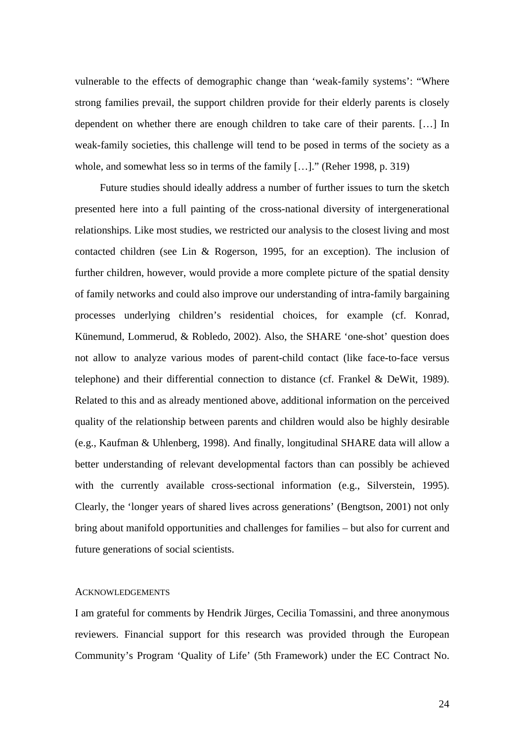vulnerable to the effects of demographic change than 'weak-family systems': "Where strong families prevail, the support children provide for their elderly parents is closely dependent on whether there are enough children to take care of their parents. […] In weak-family societies, this challenge will tend to be posed in terms of the society as a whole, and somewhat less so in terms of the family […]." (Reher 1998, p. 319)

Future studies should ideally address a number of further issues to turn the sketch presented here into a full painting of the cross-national diversity of intergenerational relationships. Like most studies, we restricted our analysis to the closest living and most contacted children (see Lin & Rogerson, 1995, for an exception). The inclusion of further children, however, would provide a more complete picture of the spatial density of family networks and could also improve our understanding of intra-family bargaining processes underlying children's residential choices, for example (cf. Konrad, Künemund, Lommerud, & Robledo, 2002). Also, the SHARE 'one-shot' question does not allow to analyze various modes of parent-child contact (like face-to-face versus telephone) and their differential connection to distance (cf. Frankel & DeWit, 1989). Related to this and as already mentioned above, additional information on the perceived quality of the relationship between parents and children would also be highly desirable (e.g., Kaufman & Uhlenberg, 1998). And finally, longitudinal SHARE data will allow a better understanding of relevant developmental factors than can possibly be achieved with the currently available cross-sectional information (e.g., Silverstein, 1995). Clearly, the 'longer years of shared lives across generations' (Bengtson, 2001) not only bring about manifold opportunities and challenges for families – but also for current and future generations of social scientists.

## **ACKNOWLEDGEMENTS**

I am grateful for comments by Hendrik Jürges, Cecilia Tomassini, and three anonymous reviewers. Financial support for this research was provided through the European Community's Program 'Quality of Life' (5th Framework) under the EC Contract No.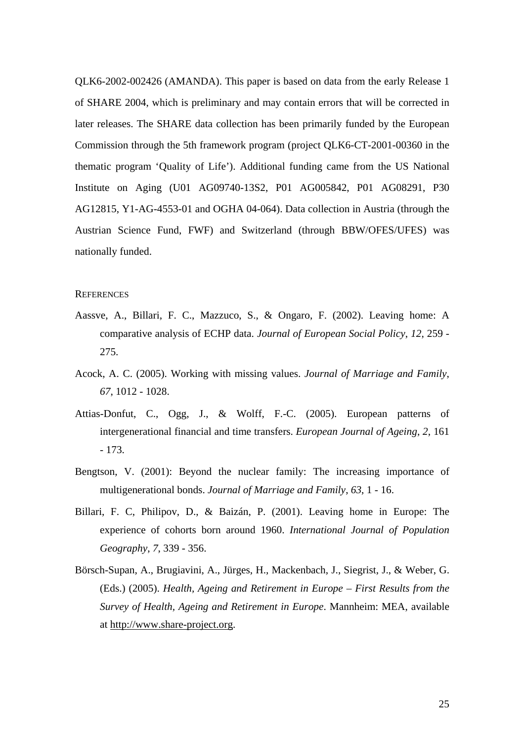QLK6-2002-002426 (AMANDA). This paper is based on data from the early Release 1 of SHARE 2004, which is preliminary and may contain errors that will be corrected in later releases. The SHARE data collection has been primarily funded by the European Commission through the 5th framework program (project QLK6-CT-2001-00360 in the thematic program 'Quality of Life'). Additional funding came from the US National Institute on Aging (U01 AG09740-13S2, P01 AG005842, P01 AG08291, P30 AG12815, Y1-AG-4553-01 and OGHA 04-064). Data collection in Austria (through the Austrian Science Fund, FWF) and Switzerland (through BBW/OFES/UFES) was nationally funded.

#### **REFERENCES**

- Aassve, A., Billari, F. C., Mazzuco, S., & Ongaro, F. (2002). Leaving home: A comparative analysis of ECHP data. *Journal of European Social Policy*, *12*, 259 - 275.
- Acock, A. C. (2005). Working with missing values. *Journal of Marriage and Family*, *67*, 1012 - 1028.
- Attias-Donfut, C., Ogg, J., & Wolff, F.-C. (2005). European patterns of intergenerational financial and time transfers. *European Journal of Ageing*, *2*, 161 - 173.
- Bengtson, V. (2001): Beyond the nuclear family: The increasing importance of multigenerational bonds. *Journal of Marriage and Family*, *63*, 1 - 16.
- Billari, F. C, Philipov, D., & Baizán, P. (2001). Leaving home in Europe: The experience of cohorts born around 1960. *International Journal of Population Geography*, *7*, 339 - 356.
- Börsch-Supan, A., Brugiavini, A., Jürges, H., Mackenbach, J., Siegrist, J., & Weber, G. (Eds.) (2005). *Health, Ageing and Retirement in Europe – First Results from the Survey of Health, Ageing and Retirement in Europe*. Mannheim: MEA, available at http://www.share-project.org.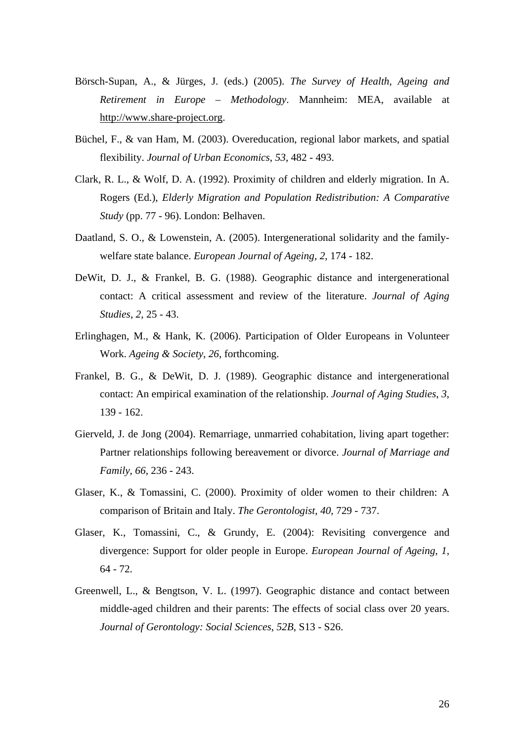- Börsch-Supan, A., & Jürges, J. (eds.) (2005). *The Survey of Health, Ageing and Retirement in Europe – Methodology*. Mannheim: MEA, available at http://www.share-project.org.
- Büchel, F., & van Ham, M. (2003). Overeducation, regional labor markets, and spatial flexibility. *Journal of Urban Economics*, *53*, 482 - 493.
- Clark, R. L., & Wolf, D. A. (1992). Proximity of children and elderly migration. In A. Rogers (Ed.), *Elderly Migration and Population Redistribution: A Comparative Study* (pp. 77 - 96). London: Belhaven.
- Daatland, S. O., & Lowenstein, A. (2005). Intergenerational solidarity and the familywelfare state balance. *European Journal of Ageing*, *2*, 174 - 182.
- DeWit, D. J., & Frankel, B. G. (1988). Geographic distance and intergenerational contact: A critical assessment and review of the literature. *Journal of Aging Studies*, *2*, 25 - 43.
- Erlinghagen, M., & Hank, K. (2006). Participation of Older Europeans in Volunteer Work. *Ageing & Society*, *26*, forthcoming.
- Frankel, B. G., & DeWit, D. J. (1989). Geographic distance and intergenerational contact: An empirical examination of the relationship. *Journal of Aging Studies*, *3*, 139 - 162.
- Gierveld, J. de Jong (2004). Remarriage, unmarried cohabitation, living apart together: Partner relationships following bereavement or divorce. *Journal of Marriage and Family*, *66*, 236 - 243.
- Glaser, K., & Tomassini, C. (2000). Proximity of older women to their children: A comparison of Britain and Italy. *The Gerontologist*, *40*, 729 - 737.
- Glaser, K., Tomassini, C., & Grundy, E. (2004): Revisiting convergence and divergence: Support for older people in Europe. *European Journal of Ageing*, *1*, 64 - 72.
- Greenwell, L., & Bengtson, V. L. (1997). Geographic distance and contact between middle-aged children and their parents: The effects of social class over 20 years. *Journal of Gerontology: Social Sciences*, *52B*, S13 - S26.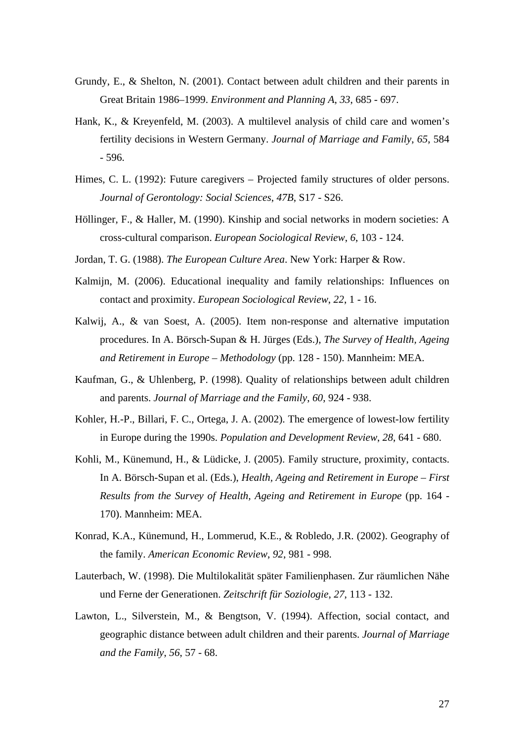- Grundy, E., & Shelton, N. (2001). Contact between adult children and their parents in Great Britain 1986–1999. *Environment and Planning A*, *33*, 685 - 697.
- Hank, K., & Kreyenfeld, M. (2003). A multilevel analysis of child care and women's fertility decisions in Western Germany. *Journal of Marriage and Family*, *65*, 584 - 596.
- Himes, C. L. (1992): Future caregivers Projected family structures of older persons. *Journal of Gerontology: Social Sciences*, *47B*, S17 - S26.
- Höllinger, F., & Haller, M. (1990). Kinship and social networks in modern societies: A cross-cultural comparison. *European Sociological Review*, *6*, 103 - 124.
- Jordan, T. G. (1988). *The European Culture Area*. New York: Harper & Row.
- Kalmijn, M. (2006). Educational inequality and family relationships: Influences on contact and proximity. *European Sociological Review*, *22*, 1 - 16.
- Kalwij, A., & van Soest, A. (2005). Item non-response and alternative imputation procedures. In A. Börsch-Supan & H. Jürges (Eds.), *The Survey of Health, Ageing and Retirement in Europe – Methodology* (pp. 128 - 150). Mannheim: MEA.
- Kaufman, G., & Uhlenberg, P. (1998). Quality of relationships between adult children and parents. *Journal of Marriage and the Family*, *60*, 924 - 938.
- Kohler, H.-P., Billari, F. C., Ortega, J. A. (2002). The emergence of lowest-low fertility in Europe during the 1990s. *Population and Development Review*, *28*, 641 - 680.
- Kohli, M., Künemund, H., & Lüdicke, J. (2005). Family structure, proximity, contacts. In A. Börsch-Supan et al. (Eds.), *Health, Ageing and Retirement in Europe – First Results from the Survey of Health, Ageing and Retirement in Europe* (pp. 164 - 170). Mannheim: MEA.
- Konrad, K.A., Künemund, H., Lommerud, K.E., & Robledo, J.R. (2002). Geography of the family. *American Economic Review*, *92*, 981 - 998.
- Lauterbach, W. (1998). Die Multilokalität später Familienphasen. Zur räumlichen Nähe und Ferne der Generationen. *Zeitschrift für Soziologie*, *27*, 113 - 132.
- Lawton, L., Silverstein, M., & Bengtson, V. (1994). Affection, social contact, and geographic distance between adult children and their parents. *Journal of Marriage and the Family*, *56*, 57 - 68.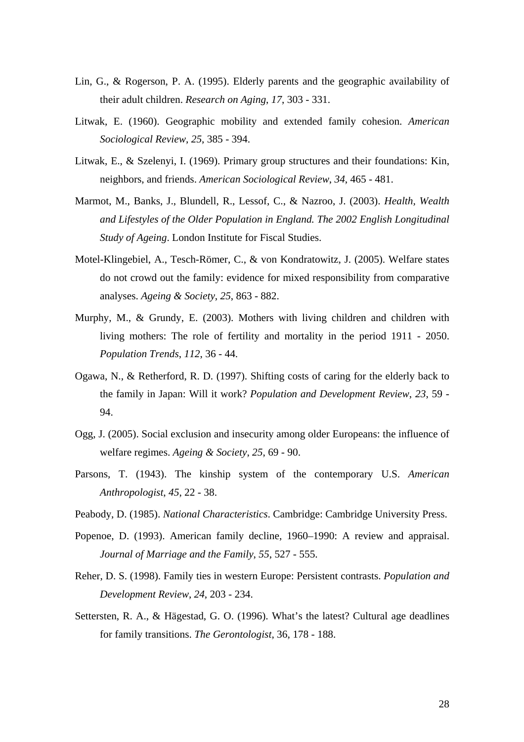- Lin, G., & Rogerson, P. A. (1995). Elderly parents and the geographic availability of their adult children. *Research on Aging*, *17*, 303 - 331.
- Litwak, E. (1960). Geographic mobility and extended family cohesion. *American Sociological Review*, *25*, 385 - 394.
- Litwak, E., & Szelenyi, I. (1969). Primary group structures and their foundations: Kin, neighbors, and friends. *American Sociological Review*, *34*, 465 - 481.
- Marmot, M., Banks, J., Blundell, R., Lessof, C., & Nazroo, J. (2003). *Health, Wealth and Lifestyles of the Older Population in England. The 2002 English Longitudinal Study of Ageing*. London Institute for Fiscal Studies.
- Motel-Klingebiel, A., Tesch-Römer, C., & von Kondratowitz, J. (2005). Welfare states do not crowd out the family: evidence for mixed responsibility from comparative analyses. *Ageing & Society*, *25*, 863 - 882.
- Murphy, M., & Grundy, E. (2003). Mothers with living children and children with living mothers: The role of fertility and mortality in the period 1911 - 2050. *Population Trends*, *112*, 36 - 44.
- Ogawa, N., & Retherford, R. D. (1997). Shifting costs of caring for the elderly back to the family in Japan: Will it work? *Population and Development Review*, *23*, 59 - 94.
- Ogg, J. (2005). Social exclusion and insecurity among older Europeans: the influence of welfare regimes. *Ageing & Society*, *25*, 69 - 90.
- Parsons, T. (1943). The kinship system of the contemporary U.S. *American Anthropologist*, *45*, 22 - 38.
- Peabody, D. (1985). *National Characteristics*. Cambridge: Cambridge University Press.
- Popenoe, D. (1993). American family decline, 1960–1990: A review and appraisal. *Journal of Marriage and the Family*, *55*, 527 - 555.
- Reher, D. S. (1998). Family ties in western Europe: Persistent contrasts. *Population and Development Review*, *24*, 203 - 234.
- Settersten, R. A., & Hägestad, G. O. (1996). What's the latest? Cultural age deadlines for family transitions. *The Gerontologist*, 36, 178 - 188.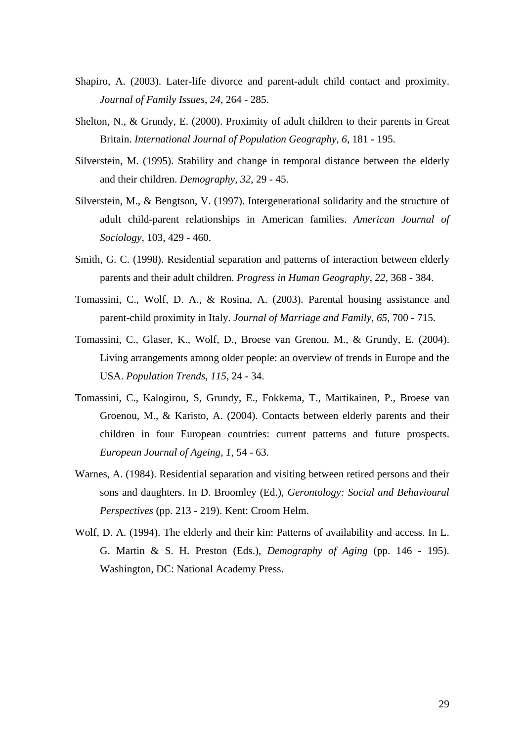- Shapiro, A. (2003). Later-life divorce and parent-adult child contact and proximity. *Journal of Family Issues*, *24*, 264 - 285.
- Shelton, N., & Grundy, E. (2000). Proximity of adult children to their parents in Great Britain. *International Journal of Population Geography*, *6*, 181 - 195.
- Silverstein, M. (1995). Stability and change in temporal distance between the elderly and their children. *Demography*, *32*, 29 - 45.
- Silverstein, M., & Bengtson, V. (1997). Intergenerational solidarity and the structure of adult child-parent relationships in American families. *American Journal of Sociology*, 103, 429 - 460.
- Smith, G. C. (1998). Residential separation and patterns of interaction between elderly parents and their adult children. *Progress in Human Geography*, *22*, 368 - 384.
- Tomassini, C., Wolf, D. A., & Rosina, A. (2003). Parental housing assistance and parent-child proximity in Italy. *Journal of Marriage and Family*, *65*, 700 - 715.
- Tomassini, C., Glaser, K., Wolf, D., Broese van Grenou, M., & Grundy, E. (2004). Living arrangements among older people: an overview of trends in Europe and the USA. *Population Trends*, *115*, 24 - 34.
- Tomassini, C., Kalogirou, S, Grundy, E., Fokkema, T., Martikainen, P., Broese van Groenou, M., & Karisto, A. (2004). Contacts between elderly parents and their children in four European countries: current patterns and future prospects. *European Journal of Ageing*, *1*, 54 - 63.
- Warnes, A. (1984). Residential separation and visiting between retired persons and their sons and daughters. In D. Broomley (Ed.), *Gerontology: Social and Behavioural Perspectives* (pp. 213 - 219). Kent: Croom Helm.
- Wolf, D. A. (1994). The elderly and their kin: Patterns of availability and access. In L. G. Martin & S. H. Preston (Eds.), *Demography of Aging* (pp. 146 - 195). Washington, DC: National Academy Press.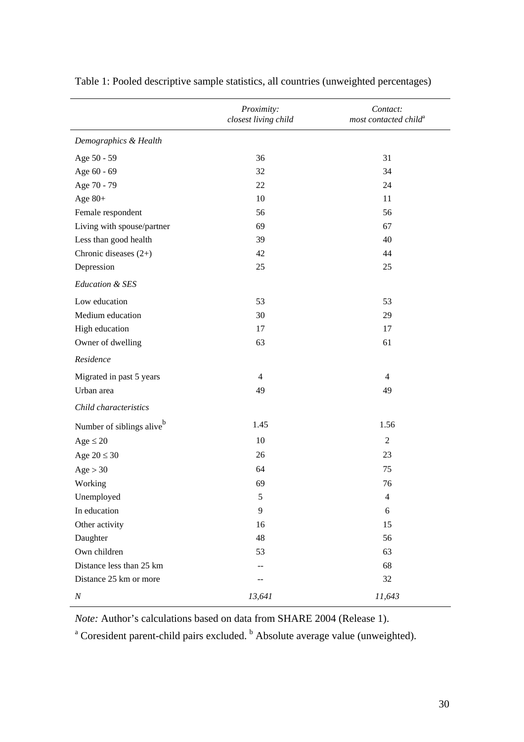|                                       | Proximity:<br>closest living child | Contact:<br>most contacted child <sup>a</sup> |
|---------------------------------------|------------------------------------|-----------------------------------------------|
| Demographics & Health                 |                                    |                                               |
| Age 50 - 59                           | 36                                 | 31                                            |
| Age 60 - 69                           | 32                                 | 34                                            |
| Age 70 - 79                           | 22                                 | 24                                            |
| Age $80+$                             | 10                                 | 11                                            |
| Female respondent                     | 56                                 | 56                                            |
| Living with spouse/partner            | 69                                 | 67                                            |
| Less than good health                 | 39                                 | 40                                            |
| Chronic diseases $(2+)$               | 42                                 | 44                                            |
| Depression                            | 25                                 | 25                                            |
| <b>Education &amp; SES</b>            |                                    |                                               |
| Low education                         | 53                                 | 53                                            |
| Medium education                      | 30                                 | 29                                            |
| High education                        | 17                                 | 17                                            |
| Owner of dwelling                     | 63                                 | 61                                            |
| Residence                             |                                    |                                               |
| Migrated in past 5 years              | $\overline{4}$                     | $\overline{4}$                                |
| Urban area                            | 49                                 | 49                                            |
| Child characteristics                 |                                    |                                               |
| Number of siblings alive <sup>b</sup> | 1.45                               | 1.56                                          |
| Age $\leq 20$                         | 10                                 | $\overline{2}$                                |
| Age $20 \leq 30$                      | 26                                 | 23                                            |
| Age > 30                              | 64                                 | 75                                            |
| Working                               | 69                                 | 76                                            |
| Unemployed                            | $\mathfrak{S}$                     | $\overline{4}$                                |
| In education                          | 9                                  | 6                                             |
| Other activity                        | 16                                 | 15                                            |
| Daughter                              | 48                                 | 56                                            |
| Own children                          | 53                                 | 63                                            |
| Distance less than 25 km              | --                                 | 68                                            |
| Distance 25 km or more                | --                                 | 32                                            |
| $\cal N$                              | 13,641                             | 11,643                                        |

Table 1: Pooled descriptive sample statistics, all countries (unweighted percentages)

*Note:* Author's calculations based on data from SHARE 2004 (Release 1).

<sup>a</sup> Coresident parent-child pairs excluded. <sup>b</sup> Absolute average value (unweighted).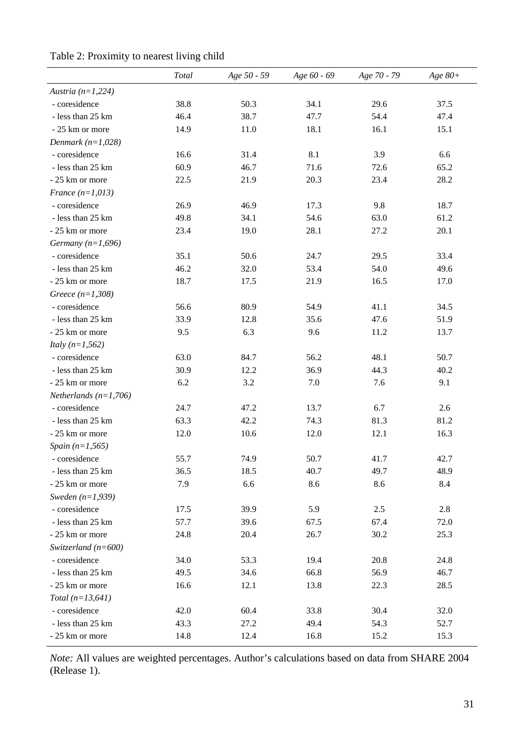|                           | Total | Age 50 - 59 | Age 60 - 69 | Age 70 - 79 | Age $80+$ |
|---------------------------|-------|-------------|-------------|-------------|-----------|
| Austria $(n=1,224)$       |       |             |             |             |           |
| - coresidence             | 38.8  | 50.3        | 34.1        | 29.6        | 37.5      |
| - less than 25 km         | 46.4  | 38.7        | 47.7        | 54.4        | 47.4      |
| - 25 km or more           | 14.9  | 11.0        | 18.1        | 16.1        | 15.1      |
| Denmark $(n=1,028)$       |       |             |             |             |           |
| - coresidence             | 16.6  | 31.4        | 8.1         | 3.9         | 6.6       |
| - less than 25 km         | 60.9  | 46.7        | 71.6        | 72.6        | 65.2      |
| - 25 km or more           | 22.5  | 21.9        | 20.3        | 23.4        | 28.2      |
| France $(n=1,013)$        |       |             |             |             |           |
| - coresidence             | 26.9  | 46.9        | 17.3        | 9.8         | 18.7      |
| - less than 25 km         | 49.8  | 34.1        | 54.6        | 63.0        | 61.2      |
| - 25 km or more           | 23.4  | 19.0        | 28.1        | 27.2        | 20.1      |
| Germany $(n=1,696)$       |       |             |             |             |           |
| - coresidence             | 35.1  | 50.6        | 24.7        | 29.5        | 33.4      |
| - less than 25 km         | 46.2  | 32.0        | 53.4        | 54.0        | 49.6      |
| - 25 km or more           | 18.7  | 17.5        | 21.9        | 16.5        | 17.0      |
| Greece $(n=1,308)$        |       |             |             |             |           |
| - coresidence             | 56.6  | 80.9        | 54.9        | 41.1        | 34.5      |
| - less than 25 km         | 33.9  | 12.8        | 35.6        | 47.6        | 51.9      |
| - 25 km or more           | 9.5   | 6.3         | 9.6         | 11.2        | 13.7      |
| <i>Italy</i> $(n=1, 562)$ |       |             |             |             |           |
| - coresidence             | 63.0  | 84.7        | 56.2        | 48.1        | 50.7      |
| - less than 25 km         | 30.9  | 12.2        | 36.9        | 44.3        | 40.2      |
| - 25 km or more           | 6.2   | 3.2         | 7.0         | 7.6         | 9.1       |
| Netherlands $(n=1,706)$   |       |             |             |             |           |
| - coresidence             | 24.7  | 47.2        | 13.7        | 6.7         | 2.6       |
| - less than 25 km         | 63.3  | 42.2        | 74.3        | 81.3        | 81.2      |
| - 25 km or more           | 12.0  | 10.6        | 12.0        | 12.1        | 16.3      |
| Spain $(n=1, 565)$        |       |             |             |             |           |
| - coresidence             | 55.7  | 74.9        | 50.7        | 41.7        | 42.7      |
| - less than 25 km         | 36.5  | 18.5        | 40.7        | 49.7        | 48.9      |
| - 25 km or more           | 7.9   | 6.6         | 8.6         | 8.6         | 8.4       |
| Sweden $(n=1,939)$        |       |             |             |             |           |
| - coresidence             | 17.5  | 39.9        | 5.9         | 2.5         | 2.8       |
| - less than 25 km         | 57.7  | 39.6        | 67.5        | 67.4        | 72.0      |
| - 25 km or more           | 24.8  | 20.4        | 26.7        | 30.2        | 25.3      |
| Switzerland ( $n=600$ )   |       |             |             |             |           |
| - coresidence             | 34.0  | 53.3        | 19.4        | 20.8        | 24.8      |
| - less than 25 km         | 49.5  | 34.6        | 66.8        | 56.9        | 46.7      |
| - 25 km or more           | 16.6  | 12.1        | 13.8        | 22.3        | 28.5      |
| Total $(n=13, 641)$       |       |             |             |             |           |
| - coresidence             | 42.0  | 60.4        | 33.8        | 30.4        | 32.0      |
| - less than 25 km         | 43.3  | 27.2        | 49.4        | 54.3        | 52.7      |
| - 25 km or more           | 14.8  | 12.4        | 16.8        | 15.2        | 15.3      |

Table 2: Proximity to nearest living child

*Note:* All values are weighted percentages. Author's calculations based on data from SHARE 2004 (Release 1).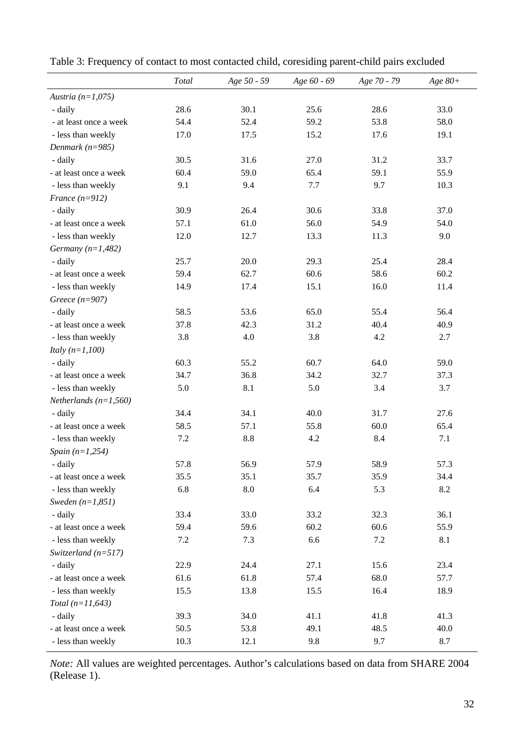|                          | Total | Age 50 - 59 | Age 60 - 69 | Age 70 - 79 | Age $80+$ |
|--------------------------|-------|-------------|-------------|-------------|-----------|
| Austria $(n=1,075)$      |       |             |             |             |           |
| - daily                  | 28.6  | 30.1        | 25.6        | 28.6        | 33.0      |
| - at least once a week   | 54.4  | 52.4        | 59.2        | 53.8        | 58.0      |
| - less than weekly       | 17.0  | 17.5        | 15.2        | 17.6        | 19.1      |
| Denmark $(n=985)$        |       |             |             |             |           |
| - daily                  | 30.5  | 31.6        | 27.0        | 31.2        | 33.7      |
| - at least once a week   | 60.4  | 59.0        | 65.4        | 59.1        | 55.9      |
| - less than weekly       | 9.1   | 9.4         | 7.7         | 9.7         | 10.3      |
| France $(n=912)$         |       |             |             |             |           |
| - daily                  | 30.9  | 26.4        | 30.6        | 33.8        | 37.0      |
| - at least once a week   | 57.1  | 61.0        | 56.0        | 54.9        | 54.0      |
| - less than weekly       | 12.0  | 12.7        | 13.3        | 11.3        | 9.0       |
| Germany $(n=1,482)$      |       |             |             |             |           |
| - daily                  | 25.7  | 20.0        | 29.3        | 25.4        | 28.4      |
| - at least once a week   | 59.4  | 62.7        | 60.6        | 58.6        | 60.2      |
| - less than weekly       | 14.9  | 17.4        | 15.1        | 16.0        | 11.4      |
| Greece $(n=907)$         |       |             |             |             |           |
| - daily                  | 58.5  | 53.6        | 65.0        | 55.4        | 56.4      |
| - at least once a week   | 37.8  | 42.3        | 31.2        | 40.4        | 40.9      |
| - less than weekly       | 3.8   | 4.0         | 3.8         | 4.2         | 2.7       |
| <i>Italy</i> $(n=1,100)$ |       |             |             |             |           |
| - daily                  | 60.3  | 55.2        | 60.7        | 64.0        | 59.0      |
| - at least once a week   | 34.7  | 36.8        | 34.2        | 32.7        | 37.3      |
| - less than weekly       | 5.0   | 8.1         | 5.0         | 3.4         | 3.7       |
| Netherlands $(n=1,560)$  |       |             |             |             |           |
| - daily                  | 34.4  | 34.1        | 40.0        | 31.7        | 27.6      |
| - at least once a week   | 58.5  | 57.1        | 55.8        | 60.0        | 65.4      |
| - less than weekly       | 7.2   | 8.8         | 4.2         | 8.4         | 7.1       |
| Spain $(n=1,254)$        |       |             |             |             |           |
| - daily                  | 57.8  | 56.9        | 57.9        | 58.9        | 57.3      |
| - at least once a week   | 35.5  | 35.1        | 35.7        | 35.9        | 34.4      |
| - less than weekly       | 6.8   | $\ \, 8.0$  | 6.4         | 5.3         | 8.2       |
| Sweden $(n=1,851)$       |       |             |             |             |           |
| - daily                  | 33.4  | 33.0        | 33.2        | 32.3        | 36.1      |
| - at least once a week   | 59.4  | 59.6        | 60.2        | 60.6        | 55.9      |
| - less than weekly       | 7.2   | 7.3         | 6.6         | 7.2         | 8.1       |
| Switzerland $(n=517)$    |       |             |             |             |           |
| - daily                  | 22.9  | 24.4        | 27.1        | 15.6        | 23.4      |
| - at least once a week   | 61.6  | 61.8        | 57.4        | 68.0        | 57.7      |
| - less than weekly       | 15.5  | 13.8        | 15.5        | 16.4        | 18.9      |
| Total $(n=11, 643)$      |       |             |             |             |           |
| - daily                  | 39.3  | 34.0        | 41.1        | 41.8        | 41.3      |
| - at least once a week   | 50.5  | 53.8        | 49.1        | 48.5        | 40.0      |
| - less than weekly       | 10.3  | 12.1        | 9.8         | 9.7         | 8.7       |

Table 3: Frequency of contact to most contacted child, coresiding parent-child pairs excluded

*Note:* All values are weighted percentages. Author's calculations based on data from SHARE 2004 (Release 1).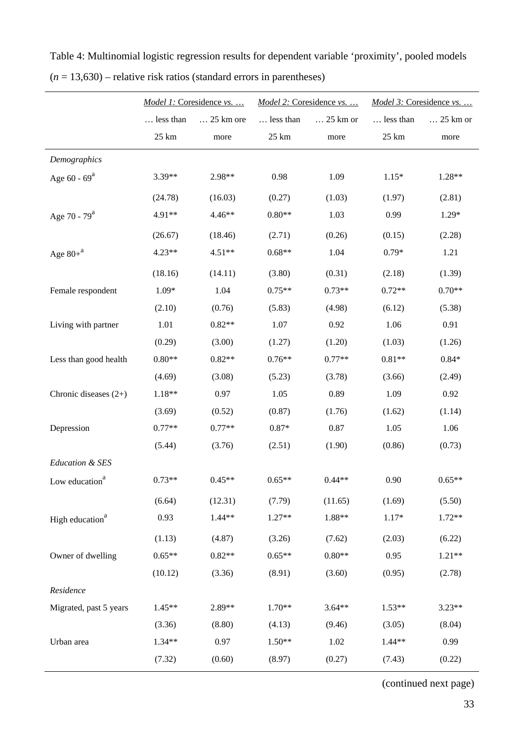|                             |                 | Model 1: Coresidence vs. |                 | Model 2: Coresidence vs. | Model 3: Coresidence vs. |          |
|-----------------------------|-----------------|--------------------------|-----------------|--------------------------|--------------------------|----------|
|                             | less than       | 25 km ore                | less than       | $\ldots$ 25 km or        | less than                | 25 km or |
|                             | $25 \text{ km}$ | more                     | $25 \text{ km}$ | more                     | $25 \text{ km}$          | more     |
| Demographics                |                 |                          |                 |                          |                          |          |
| Age $60 - 69^a$             | $3.39**$        | 2.98**                   | 0.98            | 1.09                     | $1.15*$                  | 1.28**   |
|                             | (24.78)         | (16.03)                  | (0.27)          | (1.03)                   | (1.97)                   | (2.81)   |
| Age 70 - $79^a$             | 4.91**          | 4.46**                   | $0.80**$        | 1.03                     | 0.99                     | 1.29*    |
|                             | (26.67)         | (18.46)                  | (2.71)          | (0.26)                   | (0.15)                   | (2.28)   |
| Age $80+^a$                 | $4.23**$        | $4.51**$                 | $0.68**$        | 1.04                     | $0.79*$                  | 1.21     |
|                             | (18.16)         | (14.11)                  | (3.80)          | (0.31)                   | (2.18)                   | (1.39)   |
| Female respondent           | $1.09*$         | 1.04                     | $0.75**$        | $0.73**$                 | $0.72**$                 | $0.70**$ |
|                             | (2.10)          | (0.76)                   | (5.83)          | (4.98)                   | (6.12)                   | (5.38)   |
| Living with partner         | 1.01            | $0.82**$                 | 1.07            | 0.92                     | 1.06                     | 0.91     |
|                             | (0.29)          | (3.00)                   | (1.27)          | (1.20)                   | (1.03)                   | (1.26)   |
| Less than good health       | $0.80**$        | $0.82**$                 | $0.76**$        | $0.77**$                 | $0.81**$                 | $0.84*$  |
|                             | (4.69)          | (3.08)                   | (5.23)          | (3.78)                   | (3.66)                   | (2.49)   |
| Chronic diseases $(2+)$     | $1.18**$        | 0.97                     | 1.05            | 0.89                     | 1.09                     | 0.92     |
|                             | (3.69)          | (0.52)                   | (0.87)          | (1.76)                   | (1.62)                   | (1.14)   |
| Depression                  | $0.77**$        | $0.77**$                 | $0.87*$         | 0.87                     | 1.05                     | 1.06     |
|                             | (5.44)          | (3.76)                   | (2.51)          | (1.90)                   | (0.86)                   | (0.73)   |
| Education & SES             |                 |                          |                 |                          |                          |          |
| Low education <sup>a</sup>  | $0.73**$        | $0.45**$                 | $0.65**$        | $0.44**$                 | 0.90                     | $0.65**$ |
|                             | (6.64)          | (12.31)                  | (7.79)          | (11.65)                  | (1.69)                   | (5.50)   |
| High education <sup>a</sup> | 0.93            | $1.44**$                 | $1.27**$        | $1.88**$                 | $1.17*$                  | $1.72**$ |
|                             | (1.13)          | (4.87)                   | (3.26)          | (7.62)                   | (2.03)                   | (6.22)   |
| Owner of dwelling           | $0.65**$        | $0.82**$                 | $0.65**$        | $0.80**$                 | 0.95                     | $1.21**$ |
|                             | (10.12)         | (3.36)                   | (8.91)          | (3.60)                   | (0.95)                   | (2.78)   |
| Residence                   |                 |                          |                 |                          |                          |          |
| Migrated, past 5 years      | $1.45**$        | 2.89**                   | $1.70**$        | $3.64**$                 | $1.53**$                 | $3.23**$ |
|                             | (3.36)          | (8.80)                   | (4.13)          | (9.46)                   | (3.05)                   | (8.04)   |
| Urban area                  | $1.34**$        | 0.97                     | $1.50**$        | 1.02                     | $1.44**$                 | 0.99     |
|                             | (7.32)          | (0.60)                   | (8.97)          | (0.27)                   | (7.43)                   | (0.22)   |
|                             |                 |                          |                 |                          |                          |          |

Table 4: Multinomial logistic regression results for dependent variable 'proximity', pooled models (*n* = 13,630) – relative risk ratios (standard errors in parentheses)

(continued next page)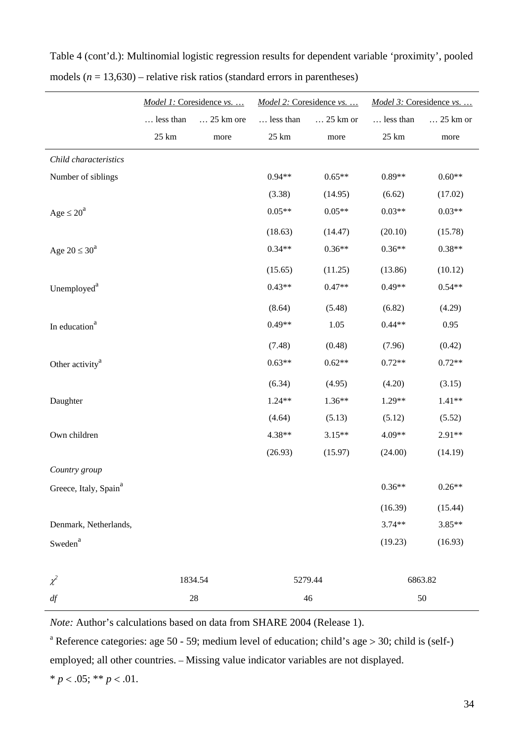|                                   | Model 1: Coresidence vs. |           |           | Model 2: Coresidence vs. | Model 3: Coresidence vs. |          |
|-----------------------------------|--------------------------|-----------|-----------|--------------------------|--------------------------|----------|
|                                   | less than                | 25 km ore | less than | 25 km or                 | less than                | 25 km or |
|                                   | $25~\mathrm{km}$         | more      | 25 km     | more                     | $25 \text{ km}$          | more     |
| Child characteristics             |                          |           |           |                          |                          |          |
| Number of siblings                |                          |           | $0.94**$  | $0.65**$                 | $0.89**$                 | $0.60**$ |
|                                   |                          |           | (3.38)    | (14.95)                  | (6.62)                   | (17.02)  |
| Age $\leq 20^a$                   |                          |           | $0.05**$  | $0.05**$                 | $0.03**$                 | $0.03**$ |
|                                   |                          |           | (18.63)   | (14.47)                  | (20.10)                  | (15.78)  |
| Age $20 \leq 30^a$                |                          |           | $0.34**$  | $0.36**$                 | $0.36**$                 | $0.38**$ |
|                                   |                          |           | (15.65)   | (11.25)                  | (13.86)                  | (10.12)  |
| Unemployed <sup>a</sup>           |                          |           | $0.43**$  | $0.47**$                 | $0.49**$                 | $0.54**$ |
|                                   |                          |           | (8.64)    | (5.48)                   | (6.82)                   | (4.29)   |
| In education <sup>a</sup>         |                          |           | $0.49**$  | 1.05                     | $0.44**$                 | 0.95     |
|                                   |                          |           | (7.48)    | (0.48)                   | (7.96)                   | (0.42)   |
| Other activity <sup>a</sup>       |                          |           | $0.63**$  | $0.62**$                 | $0.72**$                 | $0.72**$ |
|                                   |                          |           | (6.34)    | (4.95)                   | (4.20)                   | (3.15)   |
| Daughter                          |                          |           | $1.24**$  | $1.36**$                 | $1.29**$                 | $1.41**$ |
|                                   |                          |           | (4.64)    | (5.13)                   | (5.12)                   | (5.52)   |
| Own children                      |                          |           | 4.38**    | $3.15**$                 | 4.09**                   | $2.91**$ |
|                                   |                          |           | (26.93)   | (15.97)                  | (24.00)                  | (14.19)  |
| Country group                     |                          |           |           |                          |                          |          |
| Greece, Italy, Spain <sup>a</sup> |                          |           |           |                          | $0.36**$                 | $0.26**$ |
|                                   |                          |           |           |                          | (16.39)                  | (15.44)  |
| Denmark, Netherlands,             |                          |           |           |                          | $3.74**$                 | $3.85**$ |
| Sweden <sup>a</sup>               |                          |           |           |                          | (19.23)                  | (16.93)  |
|                                   |                          |           |           |                          |                          |          |
| $\chi^2$                          |                          | 1834.54   |           | 5279.44                  | 6863.82                  |          |
| df                                |                          | 28        |           | 46                       |                          | 50       |

Table 4 (cont'd.): Multinomial logistic regression results for dependent variable 'proximity', pooled models (*n* = 13,630) – relative risk ratios (standard errors in parentheses)

*Note:* Author's calculations based on data from SHARE 2004 (Release 1).

<sup>a</sup> Reference categories: age 50 - 59; medium level of education; child's age > 30; child is (self-) employed; all other countries. – Missing value indicator variables are not displayed.

\*  $p < .05$ ; \*\*  $p < .01$ .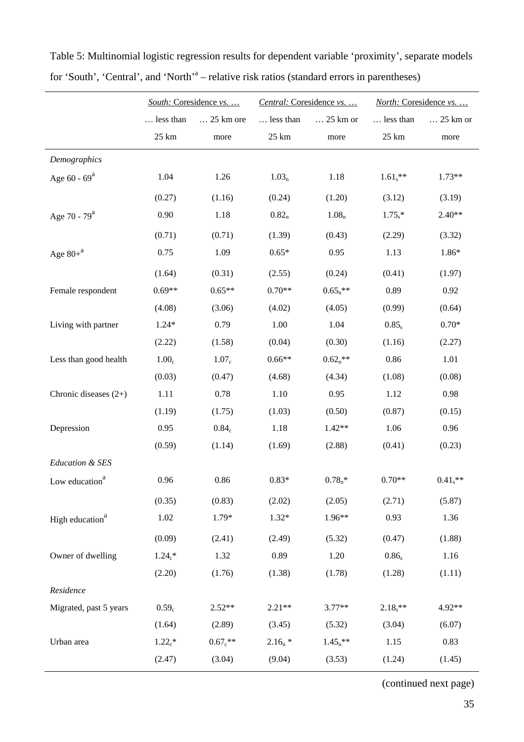|                             | South: Coresidence vs. |                   | Central: Coresidence vs. |                   | North: Coresidence vs. |            |
|-----------------------------|------------------------|-------------------|--------------------------|-------------------|------------------------|------------|
|                             | less than              | 25 km ore         | less than                | $\ldots$ 25 km or | less than              | 25 km or   |
|                             | 25 km                  | more              | 25 km                    | more              | 25 km                  | more       |
| Demographics                |                        |                   |                          |                   |                        |            |
| Age $60 - 69^a$             | 1.04                   | 1.26              | 1.03 <sub>n</sub>        | 1.18              | $1.61$ s <sup>**</sup> | $1.73**$   |
|                             | (0.27)                 | (1.16)            | (0.24)                   | (1.20)            | (3.12)                 | (3.19)     |
| Age 70 - 79 <sup>a</sup>    | 0.90                   | 1.18              | 0.82 <sub>n</sub>        | 1.08 <sub>n</sub> | $1.75$ *               | $2.40**$   |
|                             | (0.71)                 | (0.71)            | (1.39)                   | (0.43)            | (2.29)                 | (3.32)     |
| Age $80+^a$                 | 0.75                   | 1.09              | $0.65*$                  | 0.95              | 1.13                   | $1.86*$    |
|                             | (1.64)                 | (0.31)            | (2.55)                   | (0.24)            | (0.41)                 | (1.97)     |
| Female respondent           | $0.69**$               | $0.65**$          | $0.70**$                 | $0.65_n**$        | 0.89                   | 0.92       |
|                             | (4.08)                 | (3.06)            | (4.02)                   | (4.05)            | (0.99)                 | (0.64)     |
| Living with partner         | $1.24*$                | 0.79              | 1.00                     | 1.04              | $0.85_s$               | $0.70*$    |
|                             | (2.22)                 | (1.58)            | (0.04)                   | (0.30)            | (1.16)                 | (2.27)     |
| Less than good health       | 1.00 <sub>c</sub>      | 1.07 <sub>c</sub> | $0.66**$                 | $0.62_n$ **       | 0.86                   | 1.01       |
|                             | (0.03)                 | (0.47)            | (4.68)                   | (4.34)            | (1.08)                 | (0.08)     |
| Chronic diseases $(2+)$     | 1.11                   | 0.78              | 1.10                     | 0.95              | 1.12                   | 0.98       |
|                             | (1.19)                 | (1.75)            | (1.03)                   | (0.50)            | (0.87)                 | (0.15)     |
| Depression                  | 0.95                   | 0.84 <sub>c</sub> | 1.18                     | $1.42**$          | 1.06                   | 0.96       |
|                             | (0.59)                 | (1.14)            | (1.69)                   | (2.88)            | (0.41)                 | (0.23)     |
| Education & SES             |                        |                   |                          |                   |                        |            |
| Low education <sup>a</sup>  | 0.96                   | 0.86              | $0.83*$                  | $0.78_n*$         | $0.70**$               | $0.41_s**$ |
|                             | (0.35)                 | (0.83)            | (2.02)                   | (2.05)            | (2.71)                 | (5.87)     |
| High education <sup>a</sup> | 1.02                   | 1.79*             | $1.32*$                  | 1.96**            | 0.93                   | 1.36       |
|                             | (0.09)                 | (2.41)            | (2.49)                   | (5.32)            | (0.47)                 | (1.88)     |
| Owner of dwelling           | $1.24c$ *              | 1.32              | 0.89                     | 1.20              | $0.86_s$               | 1.16       |
|                             | (2.20)                 | (1.76)            | (1.38)                   | (1.78)            | (1.28)                 | (1.11)     |
| Residence                   |                        |                   |                          |                   |                        |            |
| Migrated, past 5 years      | $0.59_c$               | $2.52**$          | $2.21**$                 | $3.77**$          | $2.18$ **              | 4.92**     |
|                             | (1.64)                 | (2.89)            | (3.45)                   | (5.32)            | (3.04)                 | (6.07)     |
| Urban area                  | $1.22_c$ *             | $0.67c***$        | $2.16_n *$               | $1.45_n**$        | 1.15                   | 0.83       |
|                             | (2.47)                 | (3.04)            | (9.04)                   | (3.53)            | (1.24)                 | (1.45)     |

Table 5: Multinomial logistic regression results for dependent variable 'proximity', separate models for 'South', 'Central', and 'North'<sup>a</sup> – relative risk ratios (standard errors in parentheses)

(continued next page)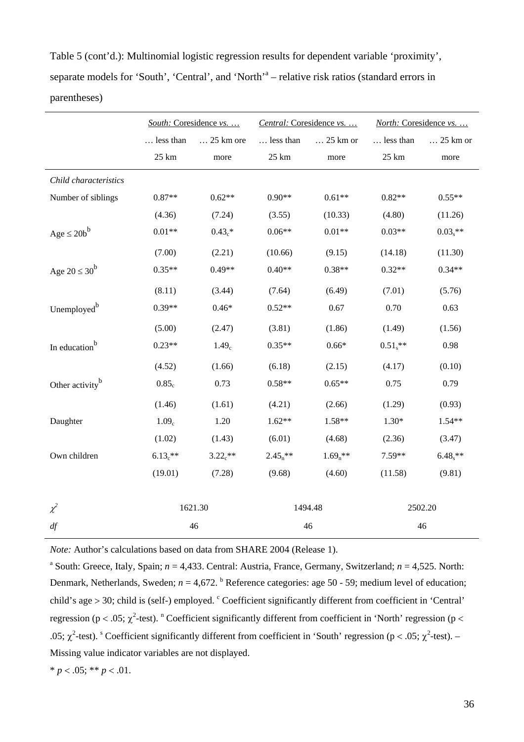Table 5 (cont'd.): Multinomial logistic regression results for dependent variable 'proximity', separate models for 'South', 'Central', and 'North'<sup>a</sup> – relative risk ratios (standard errors in parentheses)

|                             |                   | South: Coresidence vs. | Central: Coresidence vs. |                   | North: Coresidence vs. |            |  |
|-----------------------------|-------------------|------------------------|--------------------------|-------------------|------------------------|------------|--|
|                             | less than         | 25 km ore              | less than                | $\ldots$ 25 km or | less than              | 25 km or   |  |
|                             | $25 \text{ km}$   | more                   | $25 \text{ km}$          | more              | $25 \text{ km}$        | more       |  |
| Child characteristics       |                   |                        |                          |                   |                        |            |  |
| Number of siblings          | $0.87**$          | $0.62**$               | $0.90**$                 | $0.61**$          | $0.82**$               | $0.55**$   |  |
|                             | (4.36)            | (7.24)                 | (3.55)                   | (10.33)           | (4.80)                 | (11.26)    |  |
| $Age \leq 20b^b$            | $0.01**$          | $0.43_c*$              | $0.06**$                 | $0.01**$          | $0.03**$               | $0.03_s**$ |  |
|                             | (7.00)            | (2.21)                 | (10.66)                  | (9.15)            | (14.18)                | (11.30)    |  |
| Age $20 \leq 30^b$          | $0.35**$          | $0.49**$               | $0.40**$                 | $0.38**$          | $0.32**$               | $0.34**$   |  |
|                             | (8.11)            | (3.44)                 | (7.64)                   | (6.49)            | (7.01)                 | (5.76)     |  |
| Unemployed <sup>b</sup>     | $0.39**$          | $0.46*$                | $0.52**$                 | 0.67              | 0.70                   | 0.63       |  |
|                             | (5.00)            | (2.47)                 | (3.81)                   | (1.86)            | (1.49)                 | (1.56)     |  |
| In education <sup>b</sup>   | $0.23**$          | 1.49 <sub>c</sub>      | $0.35**$                 | $0.66*$           | $0.51_s**$             | 0.98       |  |
|                             | (4.52)            | (1.66)                 | (6.18)                   | (2.15)            | (4.17)                 | (0.10)     |  |
| Other activity <sup>b</sup> | 0.85 <sub>c</sub> | 0.73                   | $0.58**$                 | $0.65**$          | 0.75                   | 0.79       |  |
|                             | (1.46)            | (1.61)                 | (4.21)                   | (2.66)            | (1.29)                 | (0.93)     |  |
| Daughter                    | 1.09 <sub>c</sub> | 1.20                   | $1.62**$                 | 1.58**            | $1.30*$                | $1.54**$   |  |
|                             | (1.02)            | (1.43)                 | (6.01)                   | (4.68)            | (2.36)                 | (3.47)     |  |
| Own children                | $6.13e^{**}$      | $3.22e^{**}$           | $2.45_n**$               | $1.69_n$ **       | $7.59**$               | $6.48$ **  |  |
|                             | (19.01)           | (7.28)                 | (9.68)                   | (4.60)            | (11.58)                | (9.81)     |  |
| $\chi^2$                    |                   | 1621.30                | 1494.48                  |                   | 2502.20                |            |  |
| df                          |                   | 46                     |                          | 46                |                        | 46         |  |

*Note:* Author's calculations based on data from SHARE 2004 (Release 1).

<sup>a</sup> South: Greece, Italy, Spain;  $n = 4,433$ . Central: Austria, France, Germany, Switzerland;  $n = 4,525$ . North: Denmark, Netherlands, Sweden;  $n = 4.672$ .  $\frac{b}{n}$  Reference categories: age 50 - 59; medium level of education; child's age  $> 30$ ; child is (self-) employed.  $\textdegree$  Coefficient significantly different from coefficient in 'Central' regression (p < .05;  $\chi^2$ -test). <sup>n</sup> Coefficient significantly different from coefficient in 'North' regression (p < .05;  $\chi^2$ -test). <sup>S</sup> Coefficient significantly different from coefficient in 'South' regression (p < .05;  $\chi^2$ -test). – Missing value indicator variables are not displayed.

\* 
$$
p < .05
$$
; \*\*  $p < .01$ .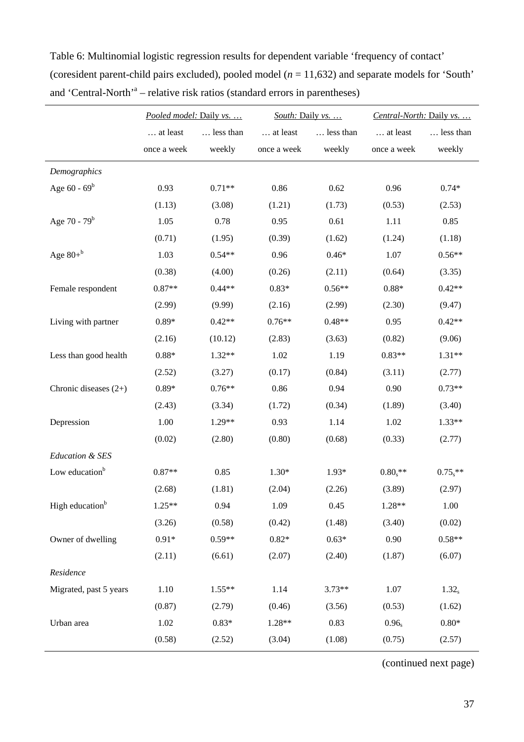|                             | Pooled model: Daily vs. |           | South: Daily vs. |           | Central-North: Daily vs. |                   |
|-----------------------------|-------------------------|-----------|------------------|-----------|--------------------------|-------------------|
|                             | at least                | less than | at least         | less than | at least                 | less than         |
|                             | once a week             | weekly    | once a week      | weekly    | once a week              | weekly            |
| Demographics                |                         |           |                  |           |                          |                   |
| Age $60 - 69^b$             | 0.93                    | $0.71**$  | 0.86             | 0.62      | 0.96                     | $0.74*$           |
|                             | (1.13)                  | (3.08)    | (1.21)           | (1.73)    | (0.53)                   | (2.53)            |
| Age 70 - $79^b$             | 1.05                    | 0.78      | 0.95             | 0.61      | 1.11                     | 0.85              |
|                             | (0.71)                  | (1.95)    | (0.39)           | (1.62)    | (1.24)                   | (1.18)            |
| Age $80+^b$                 | 1.03                    | $0.54**$  | 0.96             | $0.46*$   | 1.07                     | $0.56**$          |
|                             | (0.38)                  | (4.00)    | (0.26)           | (2.11)    | (0.64)                   | (3.35)            |
| Female respondent           | $0.87**$                | $0.44**$  | $0.83*$          | $0.56**$  | $0.88*$                  | $0.42**$          |
|                             | (2.99)                  | (9.99)    | (2.16)           | (2.99)    | (2.30)                   | (9.47)            |
| Living with partner         | $0.89*$                 | $0.42**$  | $0.76**$         | $0.48**$  | 0.95                     | $0.42**$          |
|                             | (2.16)                  | (10.12)   | (2.83)           | (3.63)    | (0.82)                   | (9.06)            |
| Less than good health       | $0.88*$                 | $1.32**$  | 1.02             | 1.19      | $0.83**$                 | $1.31**$          |
|                             | (2.52)                  | (3.27)    | (0.17)           | (0.84)    | (3.11)                   | (2.77)            |
| Chronic diseases $(2+)$     | $0.89*$                 | $0.76**$  | 0.86             | 0.94      | 0.90                     | $0.73**$          |
|                             | (2.43)                  | (3.34)    | (1.72)           | (0.34)    | (1.89)                   | (3.40)            |
| Depression                  | 1.00                    | 1.29**    | 0.93             | 1.14      | 1.02                     | $1.33**$          |
|                             | (0.02)                  | (2.80)    | (0.80)           | (0.68)    | (0.33)                   | (2.77)            |
| Education & SES             |                         |           |                  |           |                          |                   |
| Low education <sup>b</sup>  | $0.87**$                | 0.85      | $1.30*$          | 1.93*     | $0.80$ <sub>s</sub> **   | $0.75$ **         |
|                             | (2.68)                  | (1.81)    | (2.04)           | (2.26)    | (3.89)                   | (2.97)            |
| High education <sup>b</sup> | 1.25**                  | 0.94      | 1.09             | 0.45      | 1.28**                   | 1.00              |
|                             | (3.26)                  | (0.58)    | (0.42)           | (1.48)    | (3.40)                   | (0.02)            |
| Owner of dwelling           | $0.91*$                 | $0.59**$  | $0.82*$          | $0.63*$   | 0.90                     | $0.58**$          |
|                             | (2.11)                  | (6.61)    | (2.07)           | (2.40)    | (1.87)                   | (6.07)            |
| Residence                   |                         |           |                  |           |                          |                   |
| Migrated, past 5 years      | 1.10                    | $1.55**$  | 1.14             | $3.73**$  | 1.07                     | 1.32 <sub>s</sub> |
|                             | (0.87)                  | (2.79)    | (0.46)           | (3.56)    | (0.53)                   | (1.62)            |
| Urban area                  | 1.02                    | $0.83*$   | 1.28**           | 0.83      | $0.96_s$                 | $0.80*$           |
|                             | (0.58)                  | (2.52)    | (3.04)           | (1.08)    | (0.75)                   | (2.57)            |

Table 6: Multinomial logistic regression results for dependent variable 'frequency of contact' (coresident parent-child pairs excluded), pooled model (*n* = 11,632) and separate models for 'South' and 'Central-North'<sup>a</sup> – relative risk ratios (standard errors in parentheses)

(continued next page)